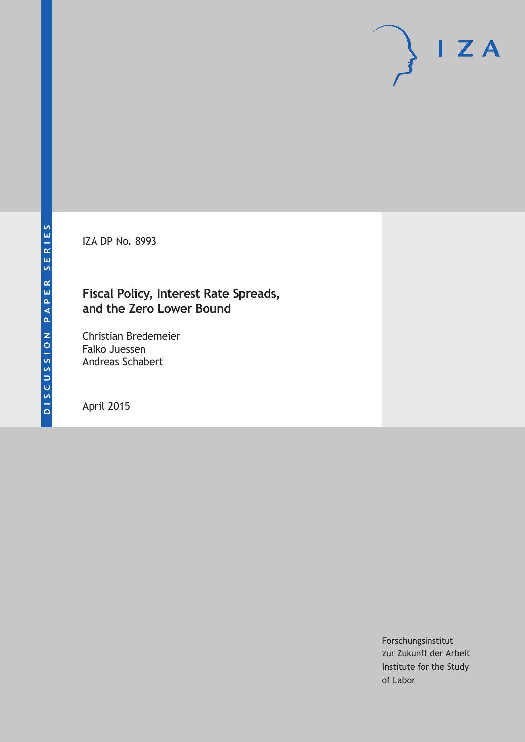IZA DP No. 8993

### **Fiscal Policy, Interest Rate Spreads, and the Zero Lower Bound**

Christian Bredemeier Falko Juessen Andreas Schabert

April 2015

Forschungsinstitut zur Zukunft der Arbeit Institute for the Study of Labor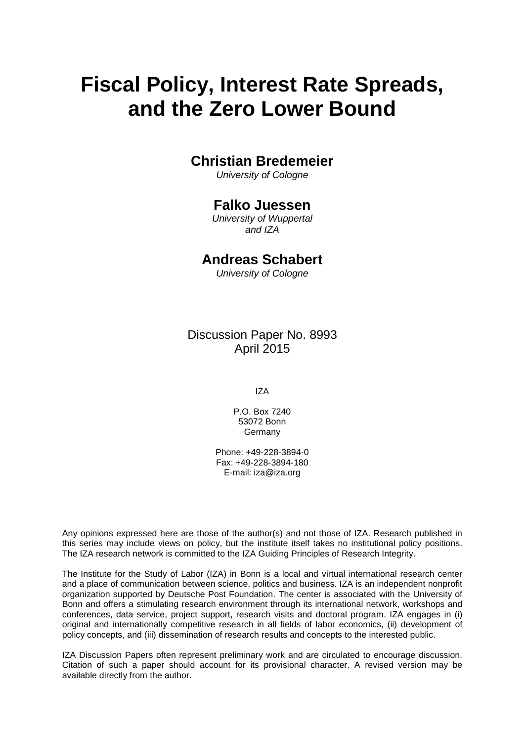# **Fiscal Policy, Interest Rate Spreads, and the Zero Lower Bound**

### **Christian Bredemeier**

*University of Cologne*

### **Falko Juessen**

*University of Wuppertal and IZA* 

### **Andreas Schabert**

*University of Cologne*

Discussion Paper No. 8993 April 2015

IZA

P.O. Box 7240 53072 Bonn Germany

Phone: +49-228-3894-0 Fax: +49-228-3894-180 E-mail: iza@iza.org

Any opinions expressed here are those of the author(s) and not those of IZA. Research published in this series may include views on policy, but the institute itself takes no institutional policy positions. The IZA research network is committed to the IZA Guiding Principles of Research Integrity.

The Institute for the Study of Labor (IZA) in Bonn is a local and virtual international research center and a place of communication between science, politics and business. IZA is an independent nonprofit organization supported by Deutsche Post Foundation. The center is associated with the University of Bonn and offers a stimulating research environment through its international network, workshops and conferences, data service, project support, research visits and doctoral program. IZA engages in (i) original and internationally competitive research in all fields of labor economics, (ii) development of policy concepts, and (iii) dissemination of research results and concepts to the interested public.

<span id="page-1-0"></span>IZA Discussion Papers often represent preliminary work and are circulated to encourage discussion. Citation of such a paper should account for its provisional character. A revised version may be available directly from the author.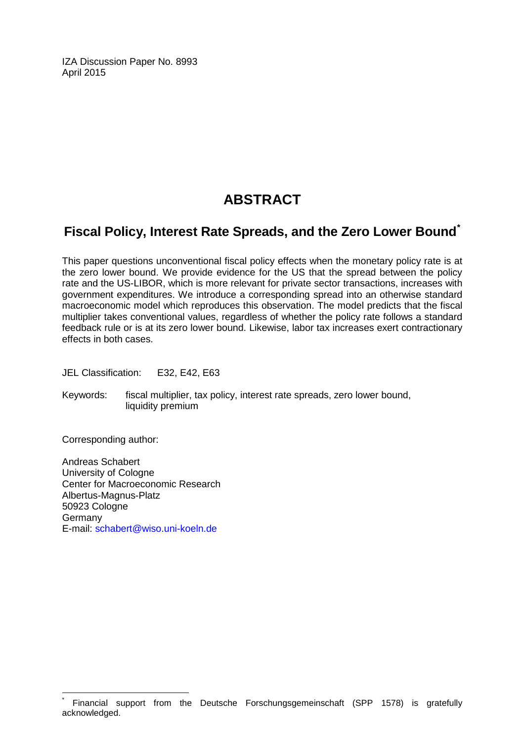IZA Discussion Paper No. 8993 April 2015

## **ABSTRACT**

### **Fiscal Policy, Interest Rate Spreads, and the Zero Lower Bound[\\*](#page-1-0)**

This paper questions unconventional fiscal policy effects when the monetary policy rate is at the zero lower bound. We provide evidence for the US that the spread between the policy rate and the US-LIBOR, which is more relevant for private sector transactions, increases with government expenditures. We introduce a corresponding spread into an otherwise standard macroeconomic model which reproduces this observation. The model predicts that the fiscal multiplier takes conventional values, regardless of whether the policy rate follows a standard feedback rule or is at its zero lower bound. Likewise, labor tax increases exert contractionary effects in both cases.

JEL Classification: E32, E42, E63

Keywords: fiscal multiplier, tax policy, interest rate spreads, zero lower bound, liquidity premium

Corresponding author:

Andreas Schabert University of Cologne Center for Macroeconomic Research Albertus-Magnus-Platz 50923 Cologne Germany E-mail: [schabert@wiso.uni-koeln.de](mailto:schabert@wiso.uni-koeln.de)

Financial support from the Deutsche Forschungsgemeinschaft (SPP 1578) is gratefully acknowledged.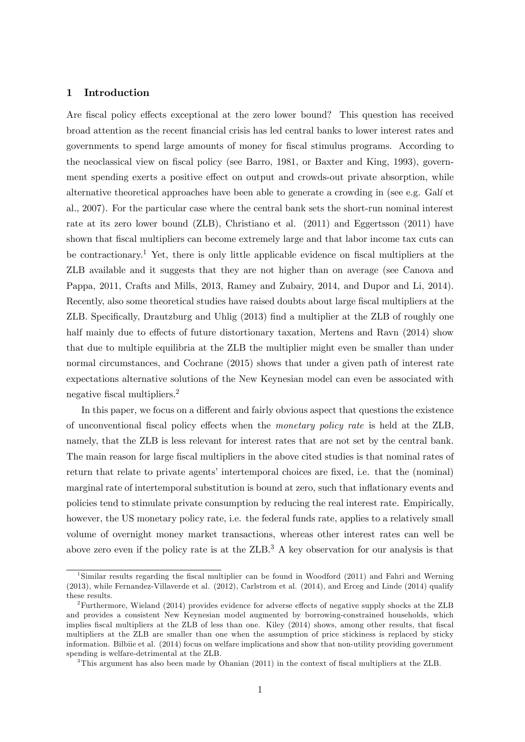#### 1 Introduction

Are fiscal policy effects exceptional at the zero lower bound? This question has received broad attention as the recent Önancial crisis has led central banks to lower interest rates and governments to spend large amounts of money for Öscal stimulus programs. According to the neoclassical view on fiscal policy (see Barro, 1981, or Baxter and King, 1993), government spending exerts a positive effect on output and crowds-out private absorption, while alternative theoretical approaches have been able to generate a crowding in (see e.g. Galí et al., 2007). For the particular case where the central bank sets the short-run nominal interest rate at its zero lower bound (ZLB), Christiano et al. (2011) and Eggertsson (2011) have shown that fiscal multipliers can become extremely large and that labor income tax cuts can be contractionary.<sup>1</sup> Yet, there is only little applicable evidence on fiscal multipliers at the ZLB available and it suggests that they are not higher than on average (see Canova and Pappa, 2011, Crafts and Mills, 2013, Ramey and Zubairy, 2014, and Dupor and Li, 2014). Recently, also some theoretical studies have raised doubts about large fiscal multipliers at the ZLB. Specifically, Drautzburg and Uhlig (2013) find a multiplier at the ZLB of roughly one half mainly due to effects of future distortionary taxation, Mertens and Ravn (2014) show that due to multiple equilibria at the ZLB the multiplier might even be smaller than under normal circumstances, and Cochrane (2015) shows that under a given path of interest rate expectations alternative solutions of the New Keynesian model can even be associated with negative fiscal multipliers.<sup>2</sup>

In this paper, we focus on a different and fairly obvious aspect that questions the existence of unconventional fiscal policy effects when the *monetary policy rate* is held at the ZLB, namely, that the ZLB is less relevant for interest rates that are not set by the central bank. The main reason for large fiscal multipliers in the above cited studies is that nominal rates of return that relate to private agents' intertemporal choices are fixed, i.e. that the (nominal) marginal rate of intertemporal substitution is bound at zero, such that inflationary events and policies tend to stimulate private consumption by reducing the real interest rate. Empirically, however, the US monetary policy rate, i.e. the federal funds rate, applies to a relatively small volume of overnight money market transactions, whereas other interest rates can well be above zero even if the policy rate is at the  $ZLB$ .<sup>3</sup> A key observation for our analysis is that

<sup>&</sup>lt;sup>1</sup>Similar results regarding the fiscal multiplier can be found in Woodford (2011) and Fahri and Werning (2013), while Fernandez-Villaverde et al. (2012), Carlstrom et al. (2014), and Erceg and Linde (2014) qualify these results.

 $2$ Furthermore, Wieland (2014) provides evidence for adverse effects of negative supply shocks at the ZLB and provides a consistent New Keynesian model augmented by borrowing-constrained households, which implies fiscal multipliers at the ZLB of less than one. Kiley (2014) shows, among other results, that fiscal multipliers at the ZLB are smaller than one when the assumption of price stickiness is replaced by sticky information. Bilbiie et al. (2014) focus on welfare implications and show that non-utility providing government spending is welfare-detrimental at the ZLB.

<sup>&</sup>lt;sup>3</sup>This argument has also been made by Ohanian  $(2011)$  in the context of fiscal multipliers at the ZLB.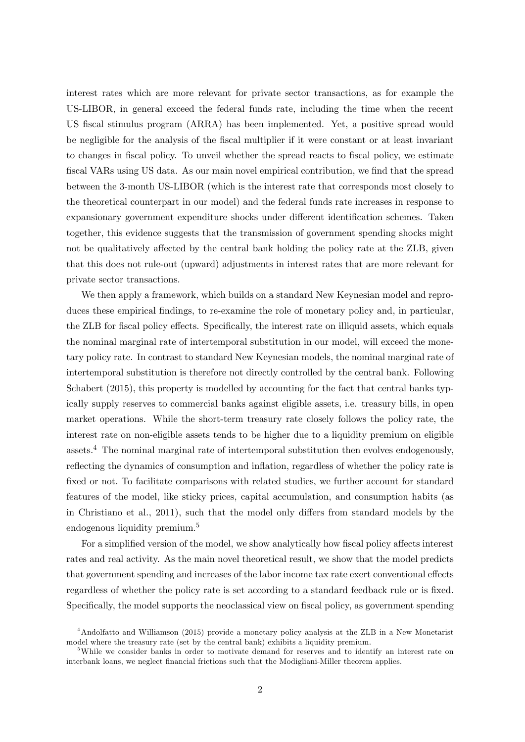interest rates which are more relevant for private sector transactions, as for example the US-LIBOR, in general exceed the federal funds rate, including the time when the recent US fiscal stimulus program (ARRA) has been implemented. Yet, a positive spread would be negligible for the analysis of the fiscal multiplier if it were constant or at least invariant to changes in fiscal policy. To unveil whether the spread reacts to fiscal policy, we estimate fiscal VARs using US data. As our main novel empirical contribution, we find that the spread between the 3-month US-LIBOR (which is the interest rate that corresponds most closely to the theoretical counterpart in our model) and the federal funds rate increases in response to expansionary government expenditure shocks under different identification schemes. Taken together, this evidence suggests that the transmission of government spending shocks might not be qualitatively affected by the central bank holding the policy rate at the ZLB, given that this does not rule-out (upward) adjustments in interest rates that are more relevant for private sector transactions.

We then apply a framework, which builds on a standard New Keynesian model and reproduces these empirical findings, to re-examine the role of monetary policy and, in particular, the ZLB for fiscal policy effects. Specifically, the interest rate on illiquid assets, which equals the nominal marginal rate of intertemporal substitution in our model, will exceed the monetary policy rate. In contrast to standard New Keynesian models, the nominal marginal rate of intertemporal substitution is therefore not directly controlled by the central bank. Following Schabert (2015), this property is modelled by accounting for the fact that central banks typically supply reserves to commercial banks against eligible assets, i.e. treasury bills, in open market operations. While the short-term treasury rate closely follows the policy rate, the interest rate on non-eligible assets tends to be higher due to a liquidity premium on eligible assets.<sup>4</sup> The nominal marginal rate of intertemporal substitution then evolves endogenously, reflecting the dynamics of consumption and inflation, regardless of whether the policy rate is fixed or not. To facilitate comparisons with related studies, we further account for standard features of the model, like sticky prices, capital accumulation, and consumption habits (as in Christiano et al., 2011), such that the model only differs from standard models by the endogenous liquidity premium.<sup>5</sup>

For a simplified version of the model, we show analytically how fiscal policy affects interest rates and real activity. As the main novel theoretical result, we show that the model predicts that government spending and increases of the labor income tax rate exert conventional effects regardless of whether the policy rate is set according to a standard feedback rule or is fixed. Specifically, the model supports the neoclassical view on fiscal policy, as government spending

<sup>4</sup>Andolfatto and Williamson (2015) provide a monetary policy analysis at the ZLB in a New Monetarist model where the treasury rate (set by the central bank) exhibits a liquidity premium.

<sup>&</sup>lt;sup>5</sup>While we consider banks in order to motivate demand for reserves and to identify an interest rate on interbank loans, we neglect financial frictions such that the Modigliani-Miller theorem applies.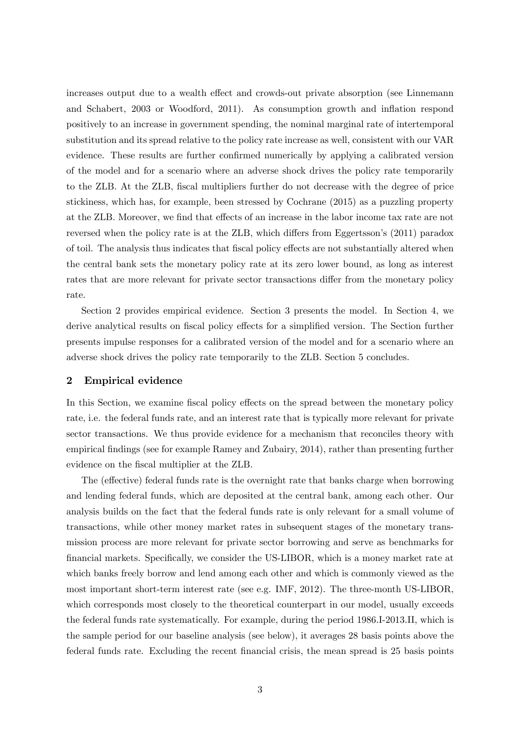increases output due to a wealth effect and crowds-out private absorption (see Linnemann and Schabert, 2003 or Woodford, 2011). As consumption growth and ináation respond positively to an increase in government spending, the nominal marginal rate of intertemporal substitution and its spread relative to the policy rate increase as well, consistent with our VAR evidence. These results are further confirmed numerically by applying a calibrated version of the model and for a scenario where an adverse shock drives the policy rate temporarily to the ZLB. At the ZLB, Öscal multipliers further do not decrease with the degree of price stickiness, which has, for example, been stressed by Cochrane (2015) as a puzzling property at the ZLB. Moreover, we find that effects of an increase in the labor income tax rate are not reversed when the policy rate is at the ZLB, which differs from Eggertsson's (2011) paradox of toil. The analysis thus indicates that fiscal policy effects are not substantially altered when the central bank sets the monetary policy rate at its zero lower bound, as long as interest rates that are more relevant for private sector transactions differ from the monetary policy rate.

Section 2 provides empirical evidence. Section 3 presents the model. In Section 4, we derive analytical results on fiscal policy effects for a simplified version. The Section further presents impulse responses for a calibrated version of the model and for a scenario where an adverse shock drives the policy rate temporarily to the ZLB. Section 5 concludes.

#### 2 Empirical evidence

In this Section, we examine fiscal policy effects on the spread between the monetary policy rate, i.e. the federal funds rate, and an interest rate that is typically more relevant for private sector transactions. We thus provide evidence for a mechanism that reconciles theory with empirical Öndings (see for example Ramey and Zubairy, 2014), rather than presenting further evidence on the fiscal multiplier at the ZLB.

The (effective) federal funds rate is the overnight rate that banks charge when borrowing and lending federal funds, which are deposited at the central bank, among each other. Our analysis builds on the fact that the federal funds rate is only relevant for a small volume of transactions, while other money market rates in subsequent stages of the monetary transmission process are more relevant for private sector borrowing and serve as benchmarks for financial markets. Specifically, we consider the US-LIBOR, which is a money market rate at which banks freely borrow and lend among each other and which is commonly viewed as the most important short-term interest rate (see e.g. IMF, 2012). The three-month US-LIBOR, which corresponds most closely to the theoretical counterpart in our model, usually exceeds the federal funds rate systematically. For example, during the period 1986.I-2013.II, which is the sample period for our baseline analysis (see below), it averages 28 basis points above the federal funds rate. Excluding the recent financial crisis, the mean spread is 25 basis points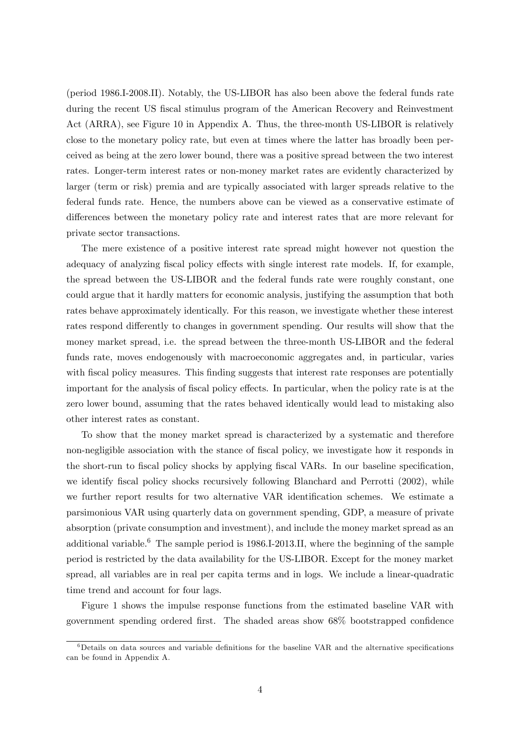(period 1986.I-2008.II). Notably, the US-LIBOR has also been above the federal funds rate during the recent US fiscal stimulus program of the American Recovery and Reinvestment Act (ARRA), see Figure 10 in Appendix A. Thus, the three-month US-LIBOR is relatively close to the monetary policy rate, but even at times where the latter has broadly been perceived as being at the zero lower bound, there was a positive spread between the two interest rates. Longer-term interest rates or non-money market rates are evidently characterized by larger (term or risk) premia and are typically associated with larger spreads relative to the federal funds rate. Hence, the numbers above can be viewed as a conservative estimate of differences between the monetary policy rate and interest rates that are more relevant for private sector transactions.

The mere existence of a positive interest rate spread might however not question the adequacy of analyzing fiscal policy effects with single interest rate models. If, for example, the spread between the US-LIBOR and the federal funds rate were roughly constant, one could argue that it hardly matters for economic analysis, justifying the assumption that both rates behave approximately identically. For this reason, we investigate whether these interest rates respond differently to changes in government spending. Our results will show that the money market spread, i.e. the spread between the three-month US-LIBOR and the federal funds rate, moves endogenously with macroeconomic aggregates and, in particular, varies with fiscal policy measures. This finding suggests that interest rate responses are potentially important for the analysis of fiscal policy effects. In particular, when the policy rate is at the zero lower bound, assuming that the rates behaved identically would lead to mistaking also other interest rates as constant.

To show that the money market spread is characterized by a systematic and therefore non-negligible association with the stance of fiscal policy, we investigate how it responds in the short-run to fiscal policy shocks by applying fiscal VARs. In our baseline specification, we identify fiscal policy shocks recursively following Blanchard and Perrotti (2002), while we further report results for two alternative VAR identification schemes. We estimate a parsimonious VAR using quarterly data on government spending, GDP, a measure of private absorption (private consumption and investment), and include the money market spread as an additional variable. $6$  The sample period is 1986.I-2013.II, where the beginning of the sample period is restricted by the data availability for the US-LIBOR. Except for the money market spread, all variables are in real per capita terms and in logs. We include a linear-quadratic time trend and account for four lags.

Figure 1 shows the impulse response functions from the estimated baseline VAR with government spending ordered first. The shaded areas show  $68\%$  bootstrapped confidence

 $6$ Details on data sources and variable definitions for the baseline VAR and the alternative specifications can be found in Appendix A.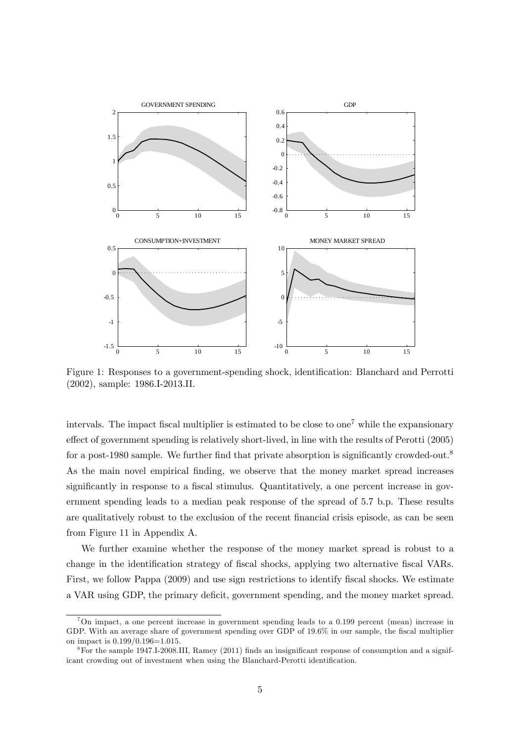

Figure 1: Responses to a government-spending shock, identification: Blanchard and Perrotti (2002), sample: 1986.I-2013.II.

intervals. The impact fiscal multiplier is estimated to be close to one<sup>7</sup> while the expansionary effect of government spending is relatively short-lived, in line with the results of Perotti  $(2005)$ for a post-1980 sample. We further find that private absorption is significantly crowded-out.<sup>8</sup> As the main novel empirical finding, we observe that the money market spread increases significantly in response to a fiscal stimulus. Quantitatively, a one percent increase in government spending leads to a median peak response of the spread of 5.7 b.p. These results are qualitatively robust to the exclusion of the recent financial crisis episode, as can be seen from Figure 11 in Appendix A.

We further examine whether the response of the money market spread is robust to a change in the identification strategy of fiscal shocks, applying two alternative fiscal VARs. First, we follow Pappa (2009) and use sign restrictions to identify fiscal shocks. We estimate a VAR using GDP, the primary deficit, government spending, and the money market spread.

 ${}^{7}$ On impact, a one percent increase in government spending leads to a 0.199 percent (mean) increase in GDP. With an average share of government spending over GDP of 19.6% in our sample, the fiscal multiplier on impact is 0.199/0.196=1.015.

 $8$ For the sample 1947.I-2008.III, Ramey (2011) finds an insignificant response of consumption and a significant crowding out of investment when using the Blanchard-Perotti identification.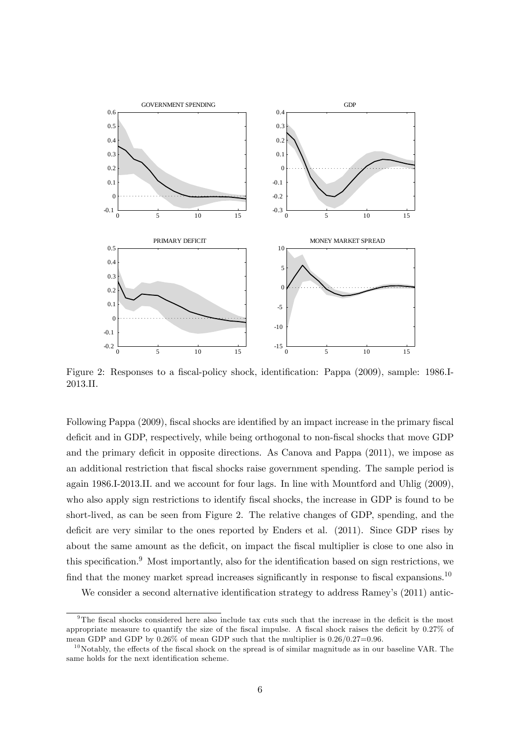

Figure 2: Responses to a fiscal-policy shock, identification: Pappa (2009), sample: 1986.I-2013.II.

Following Pappa (2009), fiscal shocks are identified by an impact increase in the primary fiscal deficit and in GDP, respectively, while being orthogonal to non-fiscal shocks that move GDP and the primary deficit in opposite directions. As Canova and Pappa (2011), we impose as an additional restriction that fiscal shocks raise government spending. The sample period is again 1986.I-2013.II. and we account for four lags. In line with Mountford and Uhlig (2009), who also apply sign restrictions to identify fiscal shocks, the increase in GDP is found to be short-lived, as can be seen from Figure 2. The relative changes of GDP, spending, and the deficit are very similar to the ones reported by Enders et al.  $(2011)$ . Since GDP rises by about the same amount as the deficit, on impact the fiscal multiplier is close to one also in this specification. $9$  Most importantly, also for the identification based on sign restrictions, we find that the money market spread increases significantly in response to fiscal expansions.<sup>10</sup>

We consider a second alternative identification strategy to address Ramey's (2011) antic-

 $9$ The fiscal shocks considered here also include tax cuts such that the increase in the deficit is the most appropriate measure to quantify the size of the fiscal impulse. A fiscal shock raises the deficit by  $0.27\%$  of mean GDP and GDP by  $0.26\%$  of mean GDP such that the multiplier is  $0.26/0.27=0.96$ .

 $10N$  Notably, the effects of the fiscal shock on the spread is of similar magnitude as in our baseline VAR. The same holds for the next identification scheme.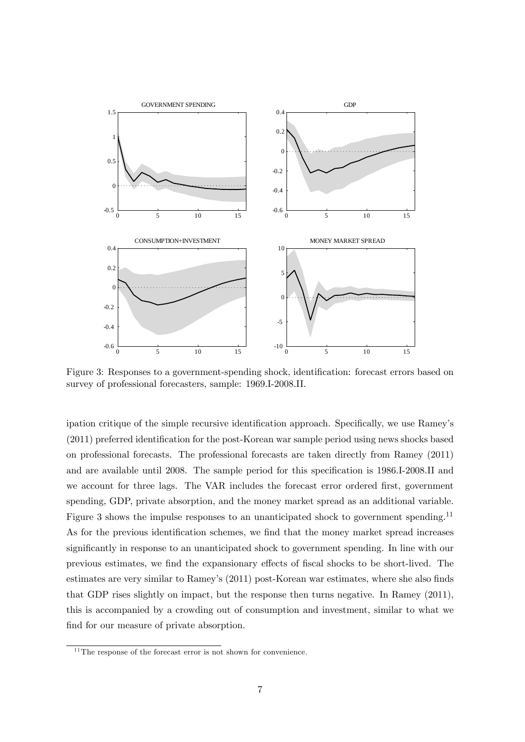

Figure 3: Responses to a government-spending shock, identification: forecast errors based on survey of professional forecasters, sample: 1969.I-2008.II.

ipation critique of the simple recursive identification approach. Specifically, we use Ramey's  $(2011)$  preferred identification for the post-Korean war sample period using news shocks based on professional forecasts. The professional forecasts are taken directly from Ramey (2011) and are available until 2008. The sample period for this specification is 1986.I-2008.II and we account for three lags. The VAR includes the forecast error ordered first, government spending, GDP, private absorption, and the money market spread as an additional variable. Figure 3 shows the impulse responses to an unanticipated shock to government spending.<sup>11</sup> As for the previous identification schemes, we find that the money market spread increases significantly in response to an unanticipated shock to government spending. In line with our previous estimates, we find the expansionary effects of fiscal shocks to be short-lived. The estimates are very similar to Ramey's (2011) post-Korean war estimates, where she also finds that GDP rises slightly on impact, but the response then turns negative. In Ramey (2011), this is accompanied by a crowding out of consumption and investment, similar to what we find for our measure of private absorption.

 $11$ <sup>11</sup>The response of the forecast error is not shown for convenience.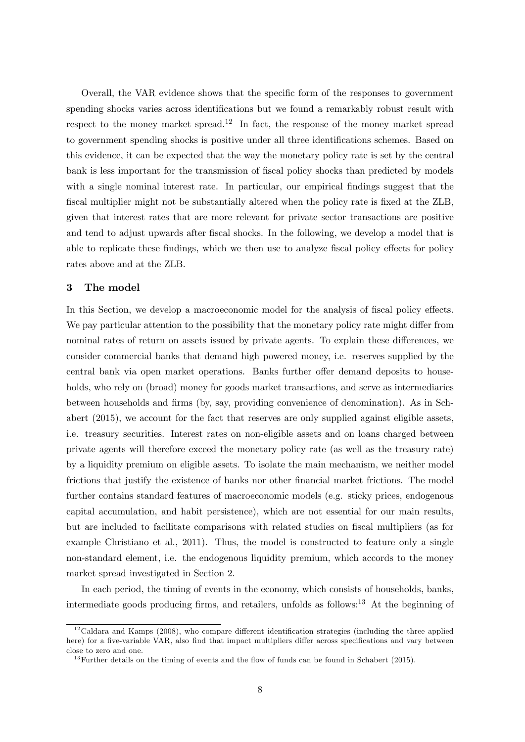Overall, the VAR evidence shows that the specific form of the responses to government spending shocks varies across identifications but we found a remarkably robust result with respect to the money market spread.<sup>12</sup> In fact, the response of the money market spread to government spending shocks is positive under all three identifications schemes. Based on this evidence, it can be expected that the way the monetary policy rate is set by the central bank is less important for the transmission of fiscal policy shocks than predicted by models with a single nominal interest rate. In particular, our empirical findings suggest that the fiscal multiplier might not be substantially altered when the policy rate is fixed at the ZLB, given that interest rates that are more relevant for private sector transactions are positive and tend to adjust upwards after fiscal shocks. In the following, we develop a model that is able to replicate these findings, which we then use to analyze fiscal policy effects for policy rates above and at the ZLB.

#### 3 The model

In this Section, we develop a macroeconomic model for the analysis of fiscal policy effects. We pay particular attention to the possibility that the monetary policy rate might differ from nominal rates of return on assets issued by private agents. To explain these differences, we consider commercial banks that demand high powered money, i.e. reserves supplied by the central bank via open market operations. Banks further offer demand deposits to households, who rely on (broad) money for goods market transactions, and serve as intermediaries between households and firms (by, say, providing convenience of denomination). As in Schabert (2015), we account for the fact that reserves are only supplied against eligible assets, i.e. treasury securities. Interest rates on non-eligible assets and on loans charged between private agents will therefore exceed the monetary policy rate (as well as the treasury rate) by a liquidity premium on eligible assets. To isolate the main mechanism, we neither model frictions that justify the existence of banks nor other financial market frictions. The model further contains standard features of macroeconomic models (e.g. sticky prices, endogenous capital accumulation, and habit persistence), which are not essential for our main results, but are included to facilitate comparisons with related studies on fiscal multipliers (as for example Christiano et al., 2011). Thus, the model is constructed to feature only a single non-standard element, i.e. the endogenous liquidity premium, which accords to the money market spread investigated in Section 2.

In each period, the timing of events in the economy, which consists of households, banks, intermediate goods producing firms, and retailers, unfolds as follows:<sup>13</sup> At the beginning of

 $12$ Caldara and Kamps (2008), who compare different identification strategies (including the three applied here) for a five-variable VAR, also find that impact multipliers differ across specifications and vary between close to zero and one.

 $13$  Further details on the timing of events and the flow of funds can be found in Schabert (2015).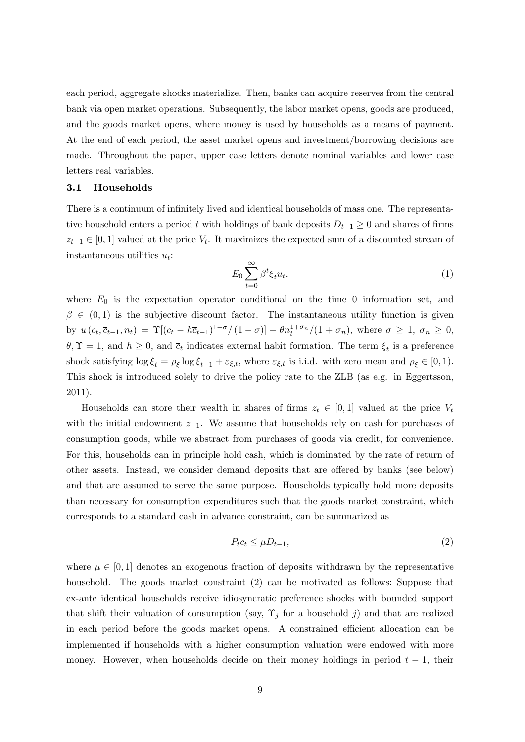each period, aggregate shocks materialize. Then, banks can acquire reserves from the central bank via open market operations. Subsequently, the labor market opens, goods are produced, and the goods market opens, where money is used by households as a means of payment. At the end of each period, the asset market opens and investment/borrowing decisions are made. Throughout the paper, upper case letters denote nominal variables and lower case letters real variables.

#### 3.1 Households

There is a continuum of infinitely lived and identical households of mass one. The representative household enters a period t with holdings of bank deposits  $D_{t-1} \geq 0$  and shares of firms  $z_{t-1} \in [0, 1]$  valued at the price  $V_t$ . It maximizes the expected sum of a discounted stream of instantaneous utilities  $u_t$ :

$$
E_0 \sum_{t=0}^{\infty} \beta^t \xi_t u_t,
$$
\n<sup>(1)</sup>

where  $E_0$  is the expectation operator conditional on the time 0 information set, and  $\beta \in (0,1)$  is the subjective discount factor. The instantaneous utility function is given by  $u(c_t, \overline{c}_{t-1}, n_t) = \Upsilon[(c_t - h\overline{c}_{t-1})^{1-\sigma}/(1-\sigma)] - \theta n_t^{1+\sigma_n}/(1+\sigma_n)$ , where  $\sigma \geq 1, \sigma_n \geq 0$ ,  $\theta, \Upsilon = 1$ , and  $h \geq 0$ , and  $\bar{c}_t$  indicates external habit formation. The term  $\xi_t$  is a preference shock satisfying  $\log \xi_t = \rho_{\xi} \log \xi_{t-1} + \varepsilon_{\xi,t}$ , where  $\varepsilon_{\xi,t}$  is i.i.d. with zero mean and  $\rho_{\xi} \in [0,1)$ . This shock is introduced solely to drive the policy rate to the ZLB (as e.g. in Eggertsson, 2011).

Households can store their wealth in shares of firms  $z_t \in [0, 1]$  valued at the price  $V_t$ with the initial endowment  $z_{-1}$ . We assume that households rely on cash for purchases of consumption goods, while we abstract from purchases of goods via credit, for convenience. For this, households can in principle hold cash, which is dominated by the rate of return of other assets. Instead, we consider demand deposits that are offered by banks (see below) and that are assumed to serve the same purpose. Households typically hold more deposits than necessary for consumption expenditures such that the goods market constraint, which corresponds to a standard cash in advance constraint, can be summarized as

$$
P_t c_t \le \mu D_{t-1},\tag{2}
$$

where  $\mu \in [0, 1]$  denotes an exogenous fraction of deposits withdrawn by the representative household. The goods market constraint (2) can be motivated as follows: Suppose that ex-ante identical households receive idiosyncratic preference shocks with bounded support that shift their valuation of consumption (say,  $\Upsilon_j$  for a household j) and that are realized in each period before the goods market opens. A constrained efficient allocation can be implemented if households with a higher consumption valuation were endowed with more money. However, when households decide on their money holdings in period  $t - 1$ , their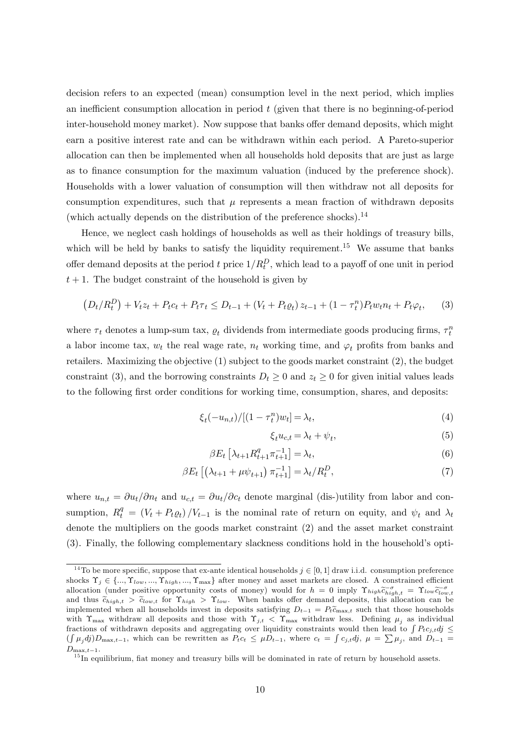decision refers to an expected (mean) consumption level in the next period, which implies an inefficient consumption allocation in period  $t$  (given that there is no beginning-of-period inter-household money market). Now suppose that banks offer demand deposits, which might earn a positive interest rate and can be withdrawn within each period. A Pareto-superior allocation can then be implemented when all households hold deposits that are just as large as to finance consumption for the maximum valuation (induced by the preference shock). Households with a lower valuation of consumption will then withdraw not all deposits for consumption expenditures, such that  $\mu$  represents a mean fraction of withdrawn deposits (which actually depends on the distribution of the preference shocks).<sup>14</sup>

Hence, we neglect cash holdings of households as well as their holdings of treasury bills, which will be held by banks to satisfy the liquidity requirement.<sup>15</sup> We assume that banks offer demand deposits at the period t price  $1/R_t^D$ , which lead to a payoff of one unit in period  $t + 1$ . The budget constraint of the household is given by

$$
(D_t/R_t^D) + V_t z_t + P_t c_t + P_t \tau_t \le D_{t-1} + (V_t + P_t \varrho_t) z_{t-1} + (1 - \tau_t^n) P_t w_t n_t + P_t \varphi_t, \qquad (3)
$$

where  $\tau_t$  denotes a lump-sum tax,  $\rho_t$  dividends from intermediate goods producing firms,  $\tau_t^n$ a labor income tax,  $w_t$  the real wage rate,  $n_t$  working time, and  $\varphi_t$  profits from banks and retailers. Maximizing the objective (1) subject to the goods market constraint (2), the budget constraint (3), and the borrowing constraints  $D_t \geq 0$  and  $z_t \geq 0$  for given initial values leads to the following first order conditions for working time, consumption, shares, and deposits:

$$
\xi_t(-u_{n,t})/[(1-\tau^n_t)w_t] = \lambda_t,\tag{4}
$$

$$
\xi_t u_{c,t} = \lambda_t + \psi_t,\tag{5}
$$

$$
\beta E_t \left[ \lambda_{t+1} R_{t+1}^q \pi_{t+1}^{-1} \right] = \lambda_t,\tag{6}
$$

$$
\beta E_t \left[ \left( \lambda_{t+1} + \mu \psi_{t+1} \right) \pi_{t+1}^{-1} \right] = \lambda_t / R_t^D, \tag{7}
$$

where  $u_{n,t} = \partial u_t/\partial n_t$  and  $u_{c,t} = \partial u_t/\partial c_t$  denote marginal (dis-)utility from labor and consumption,  $R_t^q = (V_t + P_t \varrho_t) / V_{t-1}$  is the nominal rate of return on equity, and  $\psi_t$  and  $\lambda_t$ denote the multipliers on the goods market constraint (2) and the asset market constraint (3). Finally, the following complementary slackness conditions hold in the householdís opti-

<sup>&</sup>lt;sup>14</sup>To be more specific, suppose that ex-ante identical households  $j \in [0, 1]$  draw i.i.d. consumption preference shocks  $\Upsilon_j \in \{\ldots, \Upsilon_{low}, \ldots, \Upsilon_{high}, \ldots, \Upsilon_{\text{max}}\}\$ after money and asset markets are closed. A constrained efficient allocation (under positive opportunity costs of money) would for  $h = 0$  imply  $\Upsilon_{high} \tilde{c}_{high,t} = \Upsilon_{low} \tilde{c}_{low,t}^{-\sigma}$ and thus  $\tilde{c}_{high,t} > \tilde{c}_{low,t}$  for  $\Upsilon_{high} > \Upsilon_{low}$ . When banks offer demand deposits, this allocation can be implemented when all households invest in deposits satisfying  $D_{t-1} = P_t \tilde{c}_{\text{max},t}$  such that those households with  $\Upsilon_{\text{max}}$  withdraw all deposits and those with  $\Upsilon_{j,t} < \Upsilon_{\text{max}}$  withdraw less. Defining  $\mu_j$  as individual fractions of withdrawn deposits and aggregating over liquidity constraints would then lead to  $\int P_t c_{j,t} d\theta \leq$  $(\int \mu_j d\hat{j})D_{\max,t-1}$ , which can be rewritten as  $P_t c_t \leq \mu D_{t-1}$ , where  $c_t = \int c_{j,t} d\hat{j}$ ,  $\mu = \sum \mu_j$ , and  $D_{t-1} =$  $D_{\max,t-1}.$ 

 $15$ In equilibrium, fiat money and treasury bills will be dominated in rate of return by household assets.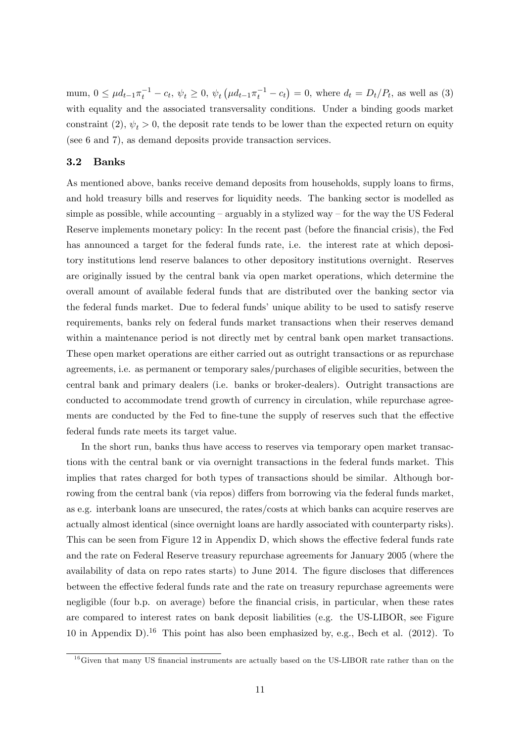mum,  $0 \leq \mu d_{t-1} \pi_t^{-1} - c_t$ ,  $\psi_t \geq 0$ ,  $\psi_t (\mu d_{t-1} \pi_t^{-1} - c_t) = 0$ , where  $d_t = D_t/P_t$ , as well as (3) with equality and the associated transversality conditions. Under a binding goods market constraint (2),  $\psi_t > 0$ , the deposit rate tends to be lower than the expected return on equity (see 6 and 7), as demand deposits provide transaction services.

#### 3.2 Banks

As mentioned above, banks receive demand deposits from households, supply loans to firms, and hold treasury bills and reserves for liquidity needs. The banking sector is modelled as simple as possible, while accounting  $-\alpha$  arguably in a stylized way  $-\alpha$  for the way the US Federal Reserve implements monetary policy: In the recent past (before the financial crisis), the Fed has announced a target for the federal funds rate, i.e. the interest rate at which depository institutions lend reserve balances to other depository institutions overnight. Reserves are originally issued by the central bank via open market operations, which determine the overall amount of available federal funds that are distributed over the banking sector via the federal funds market. Due to federal funds' unique ability to be used to satisfy reserve requirements, banks rely on federal funds market transactions when their reserves demand within a maintenance period is not directly met by central bank open market transactions. These open market operations are either carried out as outright transactions or as repurchase agreements, i.e. as permanent or temporary sales/purchases of eligible securities, between the central bank and primary dealers (i.e. banks or broker-dealers). Outright transactions are conducted to accommodate trend growth of currency in circulation, while repurchase agreements are conducted by the Fed to fine-tune the supply of reserves such that the effective federal funds rate meets its target value.

In the short run, banks thus have access to reserves via temporary open market transactions with the central bank or via overnight transactions in the federal funds market. This implies that rates charged for both types of transactions should be similar. Although borrowing from the central bank (via repos) differs from borrowing via the federal funds market, as e.g. interbank loans are unsecured, the rates/costs at which banks can acquire reserves are actually almost identical (since overnight loans are hardly associated with counterparty risks). This can be seen from Figure 12 in Appendix D, which shows the effective federal funds rate and the rate on Federal Reserve treasury repurchase agreements for January 2005 (where the availability of data on repo rates starts) to June 2014. The figure discloses that differences between the effective federal funds rate and the rate on treasury repurchase agreements were negligible (four b.p. on average) before the financial crisis, in particular, when these rates are compared to interest rates on bank deposit liabilities (e.g. the US-LIBOR, see Figure 10 in Appendix D).<sup>16</sup> This point has also been emphasized by, e.g., Bech et al. (2012). To

 $16$  Given that many US financial instruments are actually based on the US-LIBOR rate rather than on the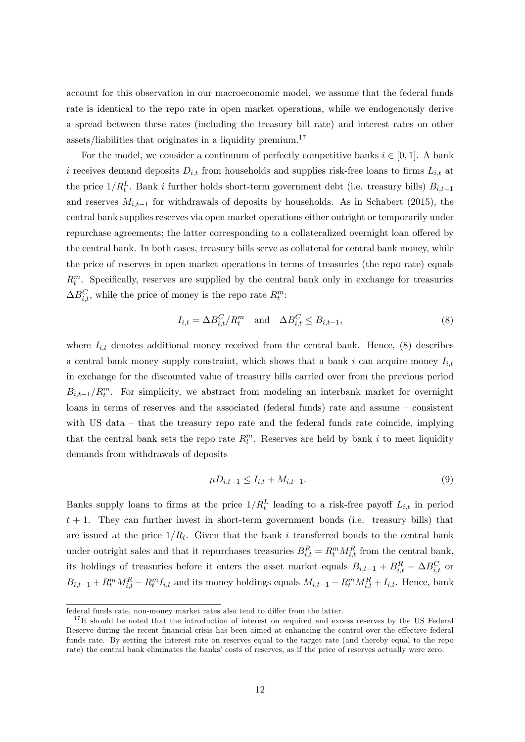account for this observation in our macroeconomic model, we assume that the federal funds rate is identical to the repo rate in open market operations, while we endogenously derive a spread between these rates (including the treasury bill rate) and interest rates on other assets/liabilities that originates in a liquidity premium.<sup>17</sup>

For the model, we consider a continuum of perfectly competitive banks  $i \in [0, 1]$ . A bank i receives demand deposits  $D_{i,t}$  from households and supplies risk-free loans to firms  $L_{i,t}$  at the price  $1/R_t^L$ . Bank i further holds short-term government debt (i.e. treasury bills)  $B_{i,t-1}$ and reserves  $M_{i,t-1}$  for withdrawals of deposits by households. As in Schabert (2015), the central bank supplies reserves via open market operations either outright or temporarily under repurchase agreements; the latter corresponding to a collateralized overnight loan offered by the central bank. In both cases, treasury bills serve as collateral for central bank money, while the price of reserves in open market operations in terms of treasuries (the repo rate) equals  $R_t^m$ . Specifically, reserves are supplied by the central bank only in exchange for treasuries  $\Delta B_{i,t}^C$ , while the price of money is the repo rate  $R_t^m$ :

$$
I_{i,t} = \Delta B_{i,t}^C / R_t^m \quad \text{and} \quad \Delta B_{i,t}^C \le B_{i,t-1},\tag{8}
$$

where  $I_{i,t}$  denotes additional money received from the central bank. Hence, (8) describes a central bank money supply constraint, which shows that a bank i can acquire money  $I_{i,t}$ in exchange for the discounted value of treasury bills carried over from the previous period  $B_{i,t-1}/R_t^m$ . For simplicity, we abstract from modeling an interbank market for overnight loans in terms of reserves and the associated (federal funds) rate and assume  $-$  consistent with US data  $-$  that the treasury repo rate and the federal funds rate coincide, implying that the central bank sets the repo rate  $R_t^m$ . Reserves are held by bank i to meet liquidity demands from withdrawals of deposits

$$
\mu D_{i,t-1} \le I_{i,t} + M_{i,t-1}.\tag{9}
$$

Banks supply loans to firms at the price  $1/R_t^L$  leading to a risk-free payoff  $L_{i,t}$  in period  $t + 1$ . They can further invest in short-term government bonds (i.e. treasury bills) that are issued at the price  $1/R_t$ . Given that the bank i transferred bonds to the central bank under outright sales and that it repurchases treasuries  $B_{i,t}^R = R_t^m M_{i,t}^R$  from the central bank, its holdings of treasuries before it enters the asset market equals  $B_{i,t-1} + B_{i,t}^R - \Delta B_{i,t}^C$  or  $B_{i,t-1} + R_t^m M_{i,t}^R - R_t^m I_{i,t}$  and its money holdings equals  $M_{i,t-1} - R_t^m M_{i,t}^R + I_{i,t}$ . Hence, bank

federal funds rate, non-money market rates also tend to differ from the latter.

 $17$ It should be noted that the introduction of interest on required and excess reserves by the US Federal Reserve during the recent financial crisis has been aimed at enhancing the control over the effective federal funds rate. By setting the interest rate on reserves equal to the target rate (and thereby equal to the repo rate) the central bank eliminates the banks' costs of reserves, as if the price of reserves actually were zero.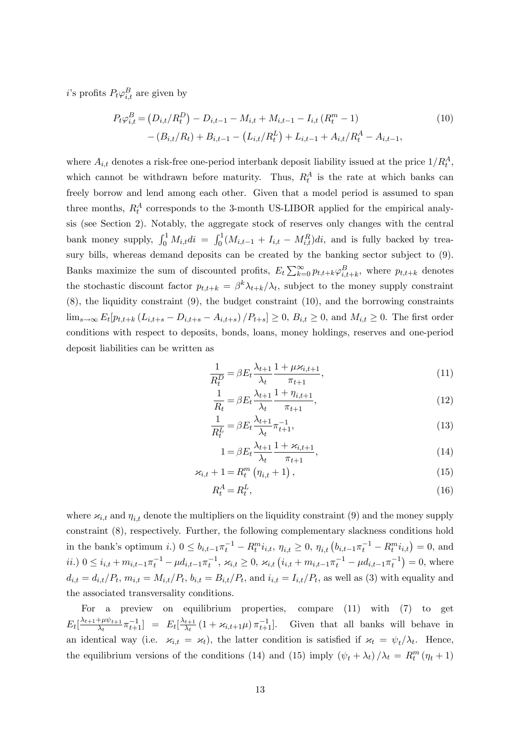*i*'s profits  $P_t \varphi_{i,t}^B$  are given by

$$
P_t \varphi_{i,t}^B = (D_{i,t}/R_t^D) - D_{i,t-1} - M_{i,t} + M_{i,t-1} - I_{i,t} (R_t^m - 1)
$$
  
 
$$
- (B_{i,t}/R_t) + B_{i,t-1} - (L_{i,t}/R_t^L) + L_{i,t-1} + A_{i,t}/R_t^A - A_{i,t-1},
$$
 (10)

where  $A_{i,t}$  denotes a risk-free one-period interbank deposit liability issued at the price  $1/R_t^A$ , which cannot be withdrawn before maturity. Thus,  $R_t^A$  is the rate at which banks can freely borrow and lend among each other. Given that a model period is assumed to span three months,  $R_t^A$  corresponds to the 3-month US-LIBOR applied for the empirical analysis (see Section 2). Notably, the aggregate stock of reserves only changes with the central bank money supply,  $\int_0^1 M_{i,t}di = \int_0^1 (M_{i,t-1} + I_{i,t} - M_{i,t}^R)di$ , and is fully backed by treasury bills, whereas demand deposits can be created by the banking sector subject to (9). Banks maximize the sum of discounted profits,  $E_t \sum_{k=0}^{\infty} p_{t,t+k} \varphi_{i,t+k}^B$ , where  $p_{t,t+k}$  denotes the stochastic discount factor  $p_{t,t+k} = \beta^k \lambda_{t+k}/\lambda_t$ , subject to the money supply constraint (8), the liquidity constraint (9), the budget constraint (10), and the borrowing constraints  $\lim_{s\to\infty} E_t[p_{t,t+k} (L_{i,t+s} - D_{i,t+s} - A_{i,t+s})/P_{t+s}] \ge 0, B_{i,t} \ge 0$ , and  $M_{i,t} \ge 0$ . The first order conditions with respect to deposits, bonds, loans, money holdings, reserves and one-period deposit liabilities can be written as

$$
\frac{1}{R_t^D} = \beta E_t \frac{\lambda_{t+1}}{\lambda_t} \frac{1 + \mu \varkappa_{i,t+1}}{\pi_{t+1}},\tag{11}
$$

$$
\frac{1}{R_t} = \beta E_t \frac{\lambda_{t+1}}{\lambda_t} \frac{1 + \eta_{i, t+1}}{\pi_{t+1}},
$$
\n(12)

$$
\frac{1}{R_t^L} = \beta E_t \frac{\lambda_{t+1}}{\lambda_t} \pi_{t+1}^{-1},\tag{13}
$$

$$
1 = \beta E_t \frac{\lambda_{t+1}}{\lambda_t} \frac{1 + \varkappa_{i,t+1}}{\pi_{t+1}},\tag{14}
$$

$$
\varkappa_{i,t} + 1 = R_t^m \left( \eta_{i,t} + 1 \right), \tag{15}
$$

$$
R_t^A = R_t^L,\tag{16}
$$

where  $x_{i,t}$  and  $\eta_{i,t}$  denote the multipliers on the liquidity constraint (9) and the money supply constraint (8), respectively. Further, the following complementary slackness conditions hold in the bank's optimum i.)  $0 \le b_{i,t-1} \pi_t^{-1} - R_t^m i_{i,t}, \eta_{i,t} \ge 0, \eta_{i,t} (b_{i,t-1} \pi_t^{-1} - R_t^m i_{i,t}) = 0$ , and  $ii)$   $0 \le i_{i,t} + m_{i,t-1} \pi_t^{-1} - \mu d_{i,t-1} \pi_t^{-1}, \ \varkappa_{i,t} \ge 0, \ \varkappa_{i,t} (i_{i,t} + m_{i,t-1} \pi_t^{-1} - \mu d_{i,t-1} \pi_t^{-1}) = 0$ , where  $d_{i,t} = d_{i,t}/P_t$ ,  $m_{i,t} = M_{i,t}/P_t$ ,  $b_{i,t} = B_{i,t}/P_t$ , and  $i_{i,t} = I_{i,t}/P_t$ , as well as (3) with equality and the associated transversality conditions.

For a preview on equilibrium properties, compare (11) with (7) to get  $E_t\left[\frac{\lambda_{t+1}+\mu\psi_{t+1}}{\lambda_t}\right]$  $\frac{1+\mu\psi_{t+1}}{\lambda_t}\pi_{t+1}^{-1}$ ] =  $E_t\left[\frac{\lambda_{t+1}}{\lambda_t}\right]$  $\frac{t+1}{\lambda_t}(1 + \varkappa_{i,t+1}\mu)\pi_{t+1}^{-1}$ . Given that all banks will behave in an identical way (i.e.  $x_{i,t} = x_t$ ), the latter condition is satisfied if  $x_t = \psi_t / \lambda_t$ . Hence, the equilibrium versions of the conditions (14) and (15) imply  $(\psi_t + \lambda_t)/\lambda_t = R_t^m (\eta_t + 1)$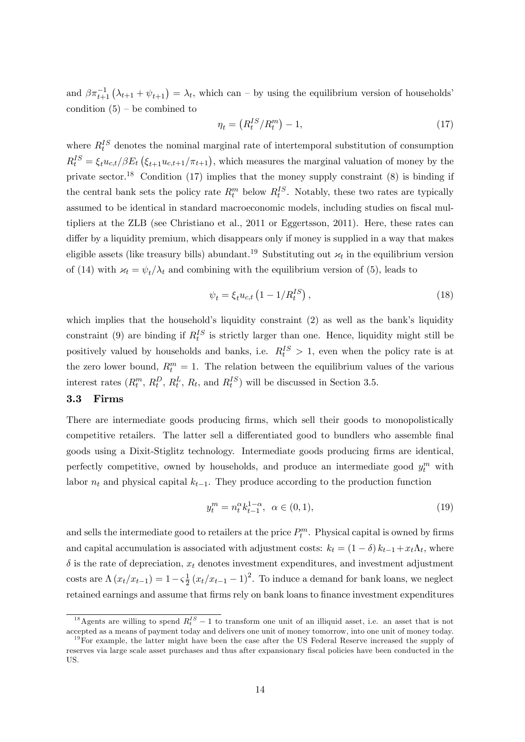and  $\beta \pi_{t+1}^{-1}(\lambda_{t+1} + \psi_{t+1}) = \lambda_t$ , which can – by using the equilibrium version of households<sup>'</sup> condition  $(5)$  – be combined to

$$
\eta_t = \left(R_t^{IS}/R_t^m\right) - 1,\tag{17}
$$

where  $R_t^{IS}$  denotes the nominal marginal rate of intertemporal substitution of consumption  $R_t^{IS} = \xi_t u_{c,t}/\beta E_t \left( \xi_{t+1} u_{c,t+1}/\pi_{t+1} \right)$ , which measures the marginal valuation of money by the private sector.<sup>18</sup> Condition (17) implies that the money supply constraint  $(8)$  is binding if the central bank sets the policy rate  $R_t^m$  below  $R_t^{IS}$ . Notably, these two rates are typically assumed to be identical in standard macroeconomic models, including studies on fiscal multipliers at the ZLB (see Christiano et al., 2011 or Eggertsson, 2011). Here, these rates can differ by a liquidity premium, which disappears only if money is supplied in a way that makes eligible assets (like treasury bills) abundant.<sup>19</sup> Substituting out  $\varkappa_t$  in the equilibrium version of (14) with  $x_t = \psi_t / \lambda_t$  and combining with the equilibrium version of (5), leads to

$$
\psi_t = \xi_t u_{c,t} \left( 1 - 1/R_t^{IS} \right),\tag{18}
$$

which implies that the household's liquidity constraint  $(2)$  as well as the bank's liquidity constraint (9) are binding if  $R_t^{IS}$  is strictly larger than one. Hence, liquidity might still be positively valued by households and banks, i.e.  $R_t^{IS} > 1$ , even when the policy rate is at the zero lower bound,  $R_t^m = 1$ . The relation between the equilibrium values of the various interest rates  $(R_t^m, R_t^D, R_t^L, R_t, \text{ and } R_t^{IS})$  will be discussed in Section 3.5.

#### 3.3 Firms

There are intermediate goods producing firms, which sell their goods to monopolistically competitive retailers. The latter sell a differentiated good to bundlers who assemble final goods using a Dixit-Stiglitz technology. Intermediate goods producing firms are identical, perfectly competitive, owned by households, and produce an intermediate good  $y_t^m$  with labor  $n_t$  and physical capital  $k_{t-1}$ . They produce according to the production function

$$
y_t^m = n_t^\alpha k_{t-1}^{1-\alpha}, \ \alpha \in (0,1), \tag{19}
$$

and sells the intermediate good to retailers at the price  $P_t^m$ . Physical capital is owned by firms and capital accumulation is associated with adjustment costs:  $k_t = (1 - \delta) k_{t-1} + x_t \Lambda_t$ , where  $\delta$  is the rate of depreciation,  $x_t$  denotes investment expenditures, and investment adjustment costs are  $\Lambda(x_t/x_{t-1}) = 1 - \varsigma \frac{1}{2}$  $\frac{1}{2}(x_t/x_{t-1} - 1)^2$ . To induce a demand for bank loans, we neglect retained earnings and assume that firms rely on bank loans to finance investment expenditures

<sup>&</sup>lt;sup>18</sup> Agents are willing to spend  $R_t^{IS} - 1$  to transform one unit of an illiquid asset, i.e. an asset that is not accepted as a means of payment today and delivers one unit of money tomorrow, into one unit of money today.

 $19$ For example, the latter might have been the case after the US Federal Reserve increased the supply of reserves via large scale asset purchases and thus after expansionary fiscal policies have been conducted in the US.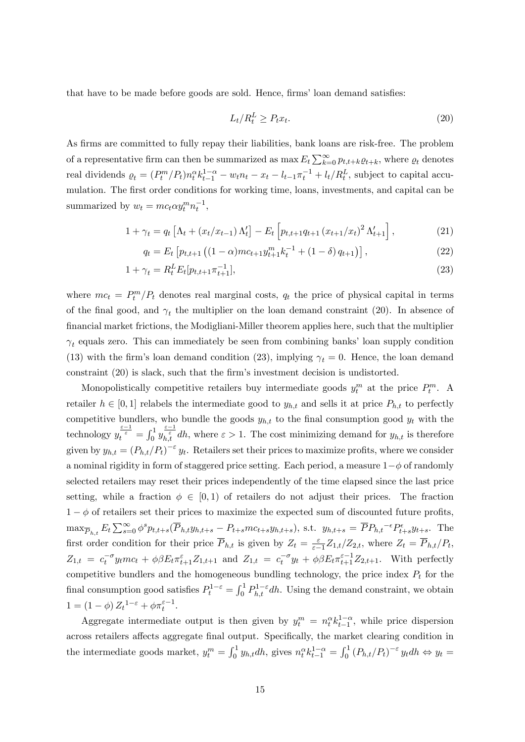that have to be made before goods are sold. Hence, firms' loan demand satisfies:

$$
L_t/R_t^L \ge P_t x_t. \tag{20}
$$

As firms are committed to fully repay their liabilities, bank loans are risk-free. The problem of a representative firm can then be summarized as  $\max E_t \sum_{k=0}^{\infty} p_{t,t+k} \varrho_{t+k}$ , where  $\varrho_t$  denotes real dividends  $\rho_t = (P_t^m/P_t)n_t^{\alpha} k_{t-1}^{1-\alpha} - w_t n_t - x_t - l_{t-1} \pi_t^{-1} + l_t/R_t^L$ , subject to capital accumulation. The first order conditions for working time, loans, investments, and capital can be summarized by  $w_t = mc_t \alpha y_t^m n_t^{-1}$ ,

$$
1 + \gamma_t = q_t \left[ \Lambda_t + (x_t/x_{t-1}) \Lambda'_t \right] - E_t \left[ p_{t,t+1} q_{t+1} (x_{t+1}/x_t)^2 \Lambda'_{t+1} \right], \tag{21}
$$

$$
q_t = E_t \left[ p_{t,t+1} \left( (1 - \alpha) m c_{t+1} y_{t+1}^m k_t^{-1} + (1 - \delta) q_{t+1} \right) \right], \tag{22}
$$

$$
1 + \gamma_t = R_t^L E_t[p_{t,t+1} \pi_{t+1}^{-1}], \tag{23}
$$

where  $mc_t = P_t^m/P_t$  denotes real marginal costs,  $q_t$  the price of physical capital in terms of the final good, and  $\gamma_t$  the multiplier on the loan demand constraint (20). In absence of Önancial market frictions, the Modigliani-Miller theorem applies here, such that the multiplier  $\gamma_t$  equals zero. This can immediately be seen from combining banks' loan supply condition (13) with the firm's loan demand condition (23), implying  $\gamma_t = 0$ . Hence, the loan demand constraint (20) is slack, such that the firm's investment decision is undistorted.

Monopolistically competitive retailers buy intermediate goods  $y_t^m$  at the price  $P_t^m$ . A retailer  $h \in [0, 1]$  relabels the intermediate good to  $y_{h,t}$  and sells it at price  $P_{h,t}$  to perfectly competitive bundlers, who bundle the goods  $y_{h,t}$  to the final consumption good  $y_t$  with the technology  $y_t^{\frac{\varepsilon-1}{\varepsilon}} = \int_0^1 y_{h,t}^{\frac{\varepsilon-1}{\varepsilon}} dh$ , where  $\varepsilon > 1$ . The cost minimizing demand for  $y_{h,t}$  is therefore given by  $y_{h,t} = (P_{h,t}/P_t)^{-\varepsilon} y_t$ . Retailers set their prices to maximize profits, where we consider a nominal rigidity in form of staggered price setting. Each period, a measure  $1-\phi$  of randomly selected retailers may reset their prices independently of the time elapsed since the last price setting, while a fraction  $\phi \in [0, 1)$  of retailers do not adjust their prices. The fraction  $1 - \phi$  of retailers set their prices to maximize the expected sum of discounted future profits,  $\max_{\overline{P}_{h,t}} E_t \sum_{s=0}^{\infty} \phi^s p_{t,t+s} (\overline{P}_{h,t} y_{h,t+s} - P_{t+s} m c_{t+s} y_{h,t+s})$ , s.t.  $y_{h,t+s} = \overline{P} P_{h,t}^{-\epsilon} P_{t+s}^{\epsilon} y_{t+s}$ . The first order condition for their price  $\overline{P}_{h,t}$  is given by  $Z_t = \frac{\varepsilon}{\varepsilon - \varepsilon}$  $\frac{\varepsilon}{\varepsilon-1}Z_{1,t}/Z_{2,t}$ , where  $Z_t = P_{h,t}/P_t$ ,  $Z_{1,t} = c_t^{-\sigma} y_t m c_t + \phi \beta E_t \pi_{t+1}^{\varepsilon} Z_{1,t+1}$  and  $Z_{1,t} = c_t^{-\sigma} y_t + \phi \beta E_t \pi_{t+1}^{\varepsilon-1} Z_{2,t+1}$ . With perfectly competitive bundlers and the homogeneous bundling technology, the price index  $P_t$  for the final consumption good satisfies  $P_t^{1-\varepsilon} = \int_0^1 P_{h,t}^{1-\varepsilon} dh$ . Using the demand constraint, we obtain  $1 = (1 - \phi) Z_t^{1 - \varepsilon} + \phi \pi_t^{\varepsilon - 1}.$ 

Aggregate intermediate output is then given by  $y_t^m = n_t^{\alpha} k_{t-1}^{1-\alpha}$ , while price dispersion across retailers affects aggregate final output. Specifically, the market clearing condition in the intermediate goods market,  $y_t^m = \int_0^1 y_{h,t} dh$ , gives  $n_t^{\alpha} k_{t-1}^{1-\alpha} = \int_0^1 (P_{h,t}/P_t)^{-\epsilon} y_t dh \Leftrightarrow y_t =$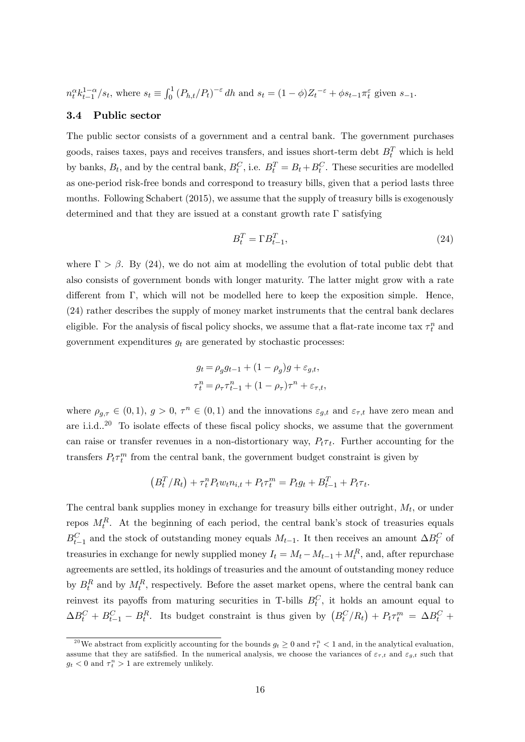$n_t^{\alpha} k_{t-1}^{1-\alpha}/s_t$ , where  $s_t \equiv \int_0^1 (P_{h,t}/P_t)^{-\varepsilon} dh$  and  $s_t = (1-\phi)Z_t^{-\varepsilon} + \phi s_{t-1} \pi_t^{\varepsilon}$  given  $s_{-1}$ .

#### 3.4 Public sector

The public sector consists of a government and a central bank. The government purchases goods, raises taxes, pays and receives transfers, and issues short-term debt  $B_t^T$  which is held by banks,  $B_t$ , and by the central bank,  $B_t^C$ , i.e.  $B_t^T = B_t + B_t^C$ . These securities are modelled as one-period risk-free bonds and correspond to treasury bills, given that a period lasts three months. Following Schabert (2015), we assume that the supply of treasury bills is exogenously determined and that they are issued at a constant growth rate  $\Gamma$  satisfying

$$
B_t^T = \Gamma B_{t-1}^T,\tag{24}
$$

where  $\Gamma > \beta$ . By (24), we do not aim at modelling the evolution of total public debt that also consists of government bonds with longer maturity. The latter might grow with a rate different from  $\Gamma$ , which will not be modelled here to keep the exposition simple. Hence, (24) rather describes the supply of money market instruments that the central bank declares eligible. For the analysis of fiscal policy shocks, we assume that a flat-rate income tax  $\tau_t^n$  and government expenditures  $g_t$  are generated by stochastic processes:

$$
g_t = \rho_g g_{t-1} + (1 - \rho_g)g + \varepsilon_{g,t},
$$
  

$$
\tau_t^n = \rho_\tau \tau_{t-1}^n + (1 - \rho_\tau)\tau^n + \varepsilon_{\tau,t},
$$

where  $\rho_{g,\tau} \in (0,1)$ ,  $g > 0$ ,  $\tau^n \in (0,1)$  and the innovations  $\varepsilon_{g,t}$  and  $\varepsilon_{\tau,t}$  have zero mean and are i.i.d..<sup>20</sup> To isolate effects of these fiscal policy shocks, we assume that the government can raise or transfer revenues in a non-distortionary way,  $P_t \tau_t$ . Further accounting for the transfers  $P_t \tau_t^m$  from the central bank, the government budget constraint is given by

$$
(B_t^T/R_t) + \tau_t^n P_t w_t n_{i,t} + P_t \tau_t^m = P_t g_t + B_{t-1}^T + P_t \tau_t.
$$

The central bank supplies money in exchange for treasury bills either outright,  $M_t$ , or under repos  $M_t^R$ . At the beginning of each period, the central bank's stock of treasuries equals  $B_{t-1}^C$  and the stock of outstanding money equals  $M_{t-1}$ . It then receives an amount  $\Delta B_t^C$  of treasuries in exchange for newly supplied money  $I_t = M_t - M_{t-1} + M_t^R$ , and, after repurchase agreements are settled, its holdings of treasuries and the amount of outstanding money reduce by  $B_t^R$  and by  $M_t^R$ , respectively. Before the asset market opens, where the central bank can reinvest its payoffs from maturing securities in T-bills  $B_t^C$ , it holds an amount equal to  $\Delta B_t^C + B_{t-1}^C - B_t^R$ . Its budget constraint is thus given by  $(B_t^C/R_t) + P_t \tau_t^m = \Delta B_t^C +$ 

<sup>&</sup>lt;sup>20</sup>We abstract from explicitly accounting for the bounds  $g_t \geq 0$  and  $\tau_t^n < 1$  and, in the analytical evaluation, assume that they are satifsfied. In the numerical analysis, we choose the variances of  $\varepsilon_{\tau,t}$  and  $\varepsilon_{g,t}$  such that  $g_t < 0$  and  $\tau_t^n > 1$  are extremely unlikely.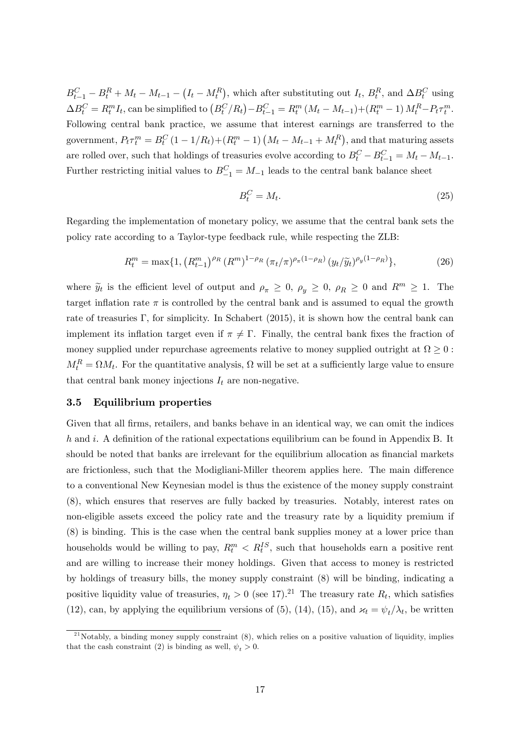$B_{t-1}^C - B_t^R + M_t - M_{t-1} - (I_t - M_t^R)$ , which after substituting out  $I_t$ ,  $B_t^R$ , and  $\Delta B_t^C$  using  $\Delta B_t^C = R_t^m I_t$ , can be simplified to  $(B_t^C/R_t) - B_{t-1}^C = R_t^m (M_t - M_{t-1}) + (R_t^m - 1) M_t^R - P_t \tau_t^m$ . Following central bank practice, we assume that interest earnings are transferred to the government,  $P_t \tau_t^m = B_t^C (1 - 1/R_t) + (R_t^m - 1) (M_t - M_{t-1} + M_t^R)$ , and that maturing assets are rolled over, such that holdings of treasuries evolve according to  $B_t^C - B_{t-1}^C = M_t - M_{t-1}$ . Further restricting initial values to  $B_{-1}^C = M_{-1}$  leads to the central bank balance sheet

$$
B_t^C = M_t. \tag{25}
$$

Regarding the implementation of monetary policy, we assume that the central bank sets the policy rate according to a Taylor-type feedback rule, while respecting the ZLB:

$$
R_t^m = \max\{1, \left(R_{t-1}^m\right)^{\rho_R} \left(R^m\right)^{1-\rho_R} \left(\pi_t/\pi\right)^{\rho_\pi(1-\rho_R)} \left(y_t/\tilde{y}_t\right)^{\rho_y(1-\rho_R)}\},\tag{26}
$$

where  $\tilde{y}_t$  is the efficient level of output and  $\rho_{\pi} \geq 0$ ,  $\rho_y \geq 0$ ,  $\rho_R \geq 0$  and  $R^m \geq 1$ . The target inflation rate  $\pi$  is controlled by the central bank and is assumed to equal the growth rate of treasuries  $\Gamma$ , for simplicity. In Schabert (2015), it is shown how the central bank can implement its inflation target even if  $\pi \neq \Gamma$ . Finally, the central bank fixes the fraction of money supplied under repurchase agreements relative to money supplied outright at  $\Omega \geq 0$ :  $M_t^R = \Omega M_t$ . For the quantitative analysis,  $\Omega$  will be set at a sufficiently large value to ensure that central bank money injections  $I_t$  are non-negative.

#### 3.5 Equilibrium properties

Given that all firms, retailers, and banks behave in an identical way, we can omit the indices  $h$  and  $i$ . A definition of the rational expectations equilibrium can be found in Appendix B. It should be noted that banks are irrelevant for the equilibrium allocation as financial markets are frictionless, such that the Modigliani-Miller theorem applies here. The main difference to a conventional New Keynesian model is thus the existence of the money supply constraint (8), which ensures that reserves are fully backed by treasuries. Notably, interest rates on non-eligible assets exceed the policy rate and the treasury rate by a liquidity premium if (8) is binding. This is the case when the central bank supplies money at a lower price than households would be willing to pay,  $R_t^m < R_t^{IS}$ , such that households earn a positive rent and are willing to increase their money holdings. Given that access to money is restricted by holdings of treasury bills, the money supply constraint (8) will be binding, indicating a positive liquidity value of treasuries,  $\eta_t > 0$  (see 17).<sup>21</sup> The treasury rate  $R_t$ , which satisfies (12), can, by applying the equilibrium versions of (5), (14), (15), and  $\varkappa_t = \psi_t / \lambda_t$ , be written

 $^{21}$ Notably, a binding money supply constraint  $(8)$ , which relies on a positive valuation of liquidity, implies that the cash constraint (2) is binding as well,  $\psi_t > 0$ .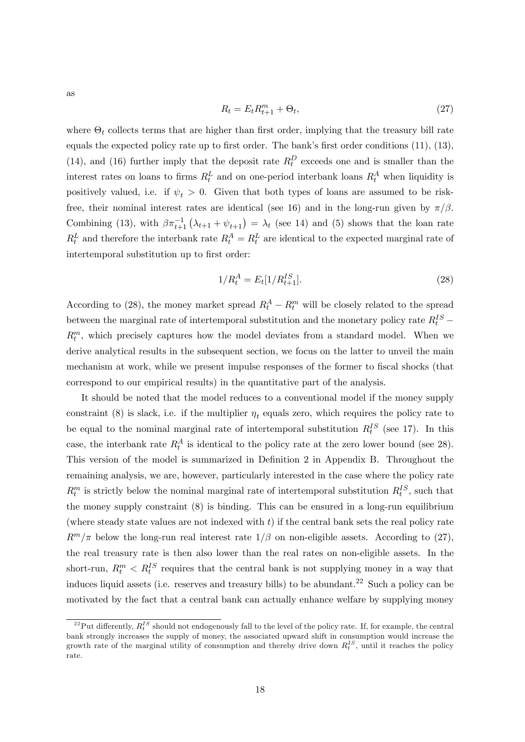$$
R_t = E_t R_{t+1}^m + \Theta_t,\tag{27}
$$

where  $\Theta_t$  collects terms that are higher than first order, implying that the treasury bill rate equals the expected policy rate up to first order. The bank's first order conditions  $(11)$ ,  $(13)$ , (14), and (16) further imply that the deposit rate  $R_t^D$  exceeds one and is smaller than the interest rates on loans to firms  $R_t^L$  and on one-period interbank loans  $R_t^A$  when liquidity is positively valued, i.e. if  $\psi_t > 0$ . Given that both types of loans are assumed to be riskfree, their nominal interest rates are identical (see 16) and in the long-run given by  $\pi/\beta$ . Combining (13), with  $\beta \pi_{t+1}^{-1}(\lambda_{t+1} + \psi_{t+1}) = \lambda_t$  (see 14) and (5) shows that the loan rate  $R_t^L$  and therefore the interbank rate  $R_t^A = R_t^L$  are identical to the expected marginal rate of intertemporal substitution up to first order:

$$
1/R_t^A = E_t[1/R_{t+1}^{IS}].
$$
\n(28)

According to (28), the money market spread  $R_t^A - R_t^m$  will be closely related to the spread between the marginal rate of intertemporal substitution and the monetary policy rate  $R_t^{IS}$  –  $R_t^m$ , which precisely captures how the model deviates from a standard model. When we derive analytical results in the subsequent section, we focus on the latter to unveil the main mechanism at work, while we present impulse responses of the former to fiscal shocks (that correspond to our empirical results) in the quantitative part of the analysis.

It should be noted that the model reduces to a conventional model if the money supply constraint (8) is slack, i.e. if the multiplier  $\eta_t$  equals zero, which requires the policy rate to be equal to the nominal marginal rate of intertemporal substitution  $R_t^{IS}$  (see 17). In this case, the interbank rate  $R_t^A$  is identical to the policy rate at the zero lower bound (see 28). This version of the model is summarized in Definition 2 in Appendix B. Throughout the remaining analysis, we are, however, particularly interested in the case where the policy rate  $R_t^m$  is strictly below the nominal marginal rate of intertemporal substitution  $R_t^{IS}$ , such that the money supply constraint (8) is binding. This can be ensured in a long-run equilibrium (where steady state values are not indexed with  $t$ ) if the central bank sets the real policy rate  $R^m/\pi$  below the long-run real interest rate  $1/\beta$  on non-eligible assets. According to (27), the real treasury rate is then also lower than the real rates on non-eligible assets. In the short-run,  $R_t^m < R_t^{IS}$  requires that the central bank is not supplying money in a way that induces liquid assets (i.e. reserves and treasury bills) to be abundant.<sup>22</sup> Such a policy can be motivated by the fact that a central bank can actually enhance welfare by supplying money

as

 $^{22}$ Put differently,  $R_t^{IS}$  should not endogenously fall to the level of the policy rate. If, for example, the central bank strongly increases the supply of money, the associated upward shift in consumption would increase the growth rate of the marginal utility of consumption and thereby drive down  $R_t^{IS}$ , until it reaches the policy rate.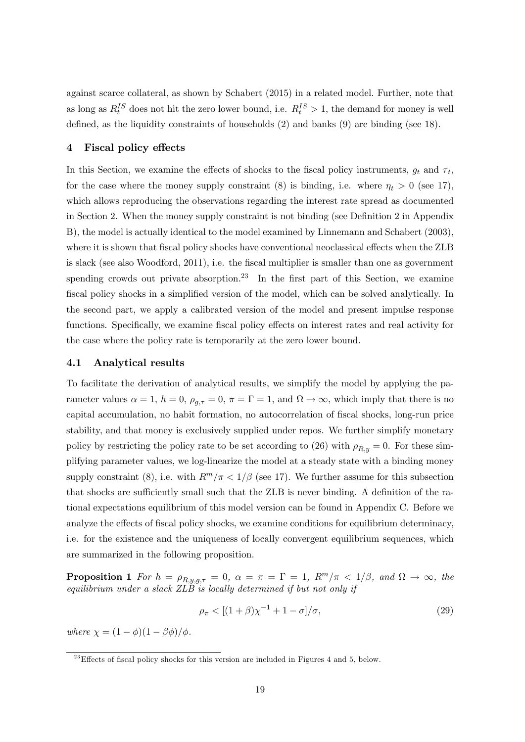against scarce collateral, as shown by Schabert (2015) in a related model. Further, note that as long as  $R_t^{IS}$  does not hit the zero lower bound, i.e.  $R_t^{IS} > 1$ , the demand for money is well defined, as the liquidity constraints of households  $(2)$  and banks  $(9)$  are binding (see 18).

#### 4 Fiscal policy effects

In this Section, we examine the effects of shocks to the fiscal policy instruments,  $g_t$  and  $\tau_t$ , for the case where the money supply constraint (8) is binding, i.e. where  $\eta_t > 0$  (see 17), which allows reproducing the observations regarding the interest rate spread as documented in Section 2. When the money supply constraint is not binding (see Definition 2 in Appendix B), the model is actually identical to the model examined by Linnemann and Schabert (2003), where it is shown that fiscal policy shocks have conventional neoclassical effects when the ZLB is slack (see also Woodford, 2011), i.e. the fiscal multiplier is smaller than one as government spending crowds out private absorption.<sup>23</sup> In the first part of this Section, we examine fiscal policy shocks in a simplified version of the model, which can be solved analytically. In the second part, we apply a calibrated version of the model and present impulse response functions. Specifically, we examine fiscal policy effects on interest rates and real activity for the case where the policy rate is temporarily at the zero lower bound.

#### 4.1 Analytical results

To facilitate the derivation of analytical results, we simplify the model by applying the parameter values  $\alpha = 1$ ,  $h = 0$ ,  $\rho_{g,\tau} = 0$ ,  $\pi = \Gamma = 1$ , and  $\Omega \to \infty$ , which imply that there is no capital accumulation, no habit formation, no autocorrelation of fiscal shocks, long-run price stability, and that money is exclusively supplied under repos. We further simplify monetary policy by restricting the policy rate to be set according to (26) with  $\rho_{R,y} = 0$ . For these simplifying parameter values, we log-linearize the model at a steady state with a binding money supply constraint (8), i.e. with  $R^m/\pi < 1/\beta$  (see 17). We further assume for this subsection that shocks are sufficiently small such that the ZLB is never binding. A definition of the rational expectations equilibrium of this model version can be found in Appendix C. Before we analyze the effects of fiscal policy shocks, we examine conditions for equilibrium determinacy, i.e. for the existence and the uniqueness of locally convergent equilibrium sequences, which are summarized in the following proposition.

**Proposition 1** For  $h = \rho_{R,y,g,\tau} = 0$ ,  $\alpha = \pi = \Gamma = 1$ ,  $R^m/\pi < 1/\beta$ , and  $\Omega \to \infty$ , the equilibrium under a slack  $ZL\ddot{B}$  is locally determined if but not only if

$$
\rho_{\pi} < [(1+\beta)\chi^{-1} + 1 - \sigma]/\sigma, \tag{29}
$$

where  $\chi = (1 - \phi)(1 - \beta \phi)/\phi$ .

 $^{23}$ Effects of fiscal policy shocks for this version are included in Figures 4 and 5, below.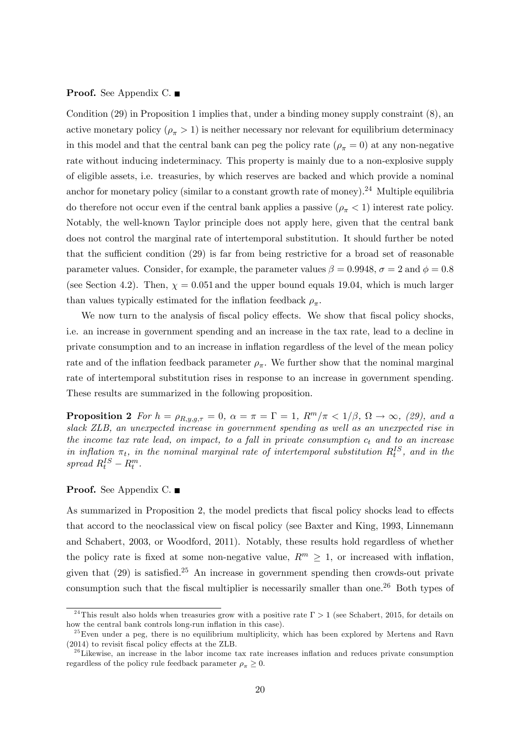**Proof.** See Appendix C. ■

Condition (29) in Proposition 1 implies that, under a binding money supply constraint (8), an active monetary policy  $(\rho_{\pi} > 1)$  is neither necessary nor relevant for equilibrium determinacy in this model and that the central bank can peg the policy rate  $(\rho_{\pi} = 0)$  at any non-negative rate without inducing indeterminacy. This property is mainly due to a non-explosive supply of eligible assets, i.e. treasuries, by which reserves are backed and which provide a nominal anchor for monetary policy (similar to a constant growth rate of money).<sup>24</sup> Multiple equilibria do therefore not occur even if the central bank applies a passive  $(\rho_{\pi} < 1)$  interest rate policy. Notably, the well-known Taylor principle does not apply here, given that the central bank does not control the marginal rate of intertemporal substitution. It should further be noted that the sufficient condition  $(29)$  is far from being restrictive for a broad set of reasonable parameter values. Consider, for example, the parameter values  $\beta = 0.9948$ ,  $\sigma = 2$  and  $\phi = 0.8$ (see Section 4.2). Then,  $\chi = 0.051$  and the upper bound equals 19.04, which is much larger than values typically estimated for the inflation feedback  $\rho_{\pi}$ .

We now turn to the analysis of fiscal policy effects. We show that fiscal policy shocks, i.e. an increase in government spending and an increase in the tax rate, lead to a decline in private consumption and to an increase in ináation regardless of the level of the mean policy rate and of the inflation feedback parameter  $\rho_{\pi}$ . We further show that the nominal marginal rate of intertemporal substitution rises in response to an increase in government spending. These results are summarized in the following proposition.

**Proposition 2** For  $h = \rho_{R,y,g,\tau} = 0$ ,  $\alpha = \pi = \Gamma = 1$ ,  $R^m/\pi < 1/\beta$ ,  $\Omega \to \infty$ , (29), and a slack ZLB, an unexpected increase in government spending as well as an unexpected rise in the income tax rate lead, on impact, to a fall in private consumption  $c_t$  and to an increase in inflation  $\pi_t$ , in the nominal marginal rate of intertemporal substitution  $R_t^{IS}$ , and in the spread  $R_t^{IS} - R_t^m$ .

#### Proof. See Appendix C. ■

As summarized in Proposition 2, the model predicts that fiscal policy shocks lead to effects that accord to the neoclassical view on fiscal policy (see Baxter and King, 1993, Linnemann and Schabert, 2003, or Woodford, 2011). Notably, these results hold regardless of whether the policy rate is fixed at some non-negative value,  $R^m \geq 1$ , or increased with inflation, given that  $(29)$  is satisfied.<sup>25</sup> An increase in government spending then crowds-out private consumption such that the fiscal multiplier is necessarily smaller than one.<sup>26</sup> Both types of

<sup>&</sup>lt;sup>24</sup>This result also holds when treasuries grow with a positive rate  $\Gamma > 1$  (see Schabert, 2015, for details on how the central bank controls long-run inflation in this case).

 $^{25}$ Even under a peg, there is no equilibrium multiplicity, which has been explored by Mertens and Ravn  $(2014)$  to revisit fiscal policy effects at the ZLB.

 $2<sup>26</sup>$ Likewise, an increase in the labor income tax rate increases inflation and reduces private consumption regardless of the policy rule feedback parameter  $\rho_{\pi} \geq 0$ .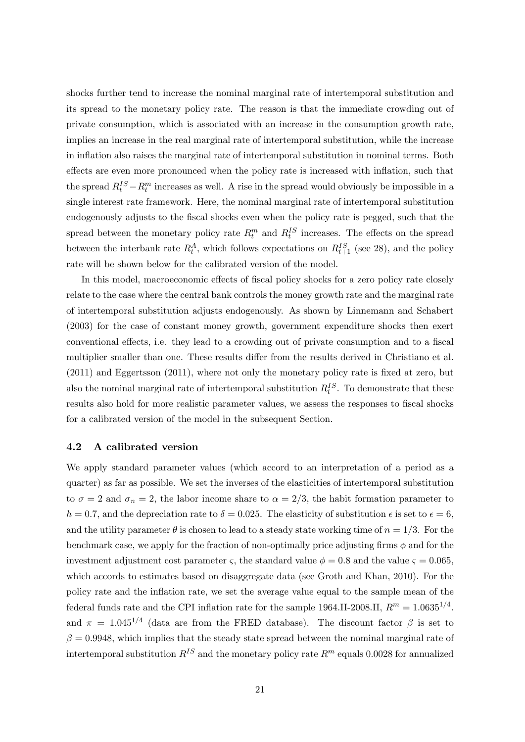shocks further tend to increase the nominal marginal rate of intertemporal substitution and its spread to the monetary policy rate. The reason is that the immediate crowding out of private consumption, which is associated with an increase in the consumption growth rate, implies an increase in the real marginal rate of intertemporal substitution, while the increase in inflation also raises the marginal rate of intertemporal substitution in nominal terms. Both effects are even more pronounced when the policy rate is increased with inflation, such that the spread  $R_t^{IS} - R_t^m$  increases as well. A rise in the spread would obviously be impossible in a single interest rate framework. Here, the nominal marginal rate of intertemporal substitution endogenously adjusts to the fiscal shocks even when the policy rate is pegged, such that the spread between the monetary policy rate  $R_t^m$  and  $R_t^{IS}$  increases. The effects on the spread between the interbank rate  $R_t^A$ , which follows expectations on  $R_{t+1}^{IS}$  (see 28), and the policy rate will be shown below for the calibrated version of the model.

In this model, macroeconomic effects of fiscal policy shocks for a zero policy rate closely relate to the case where the central bank controls the money growth rate and the marginal rate of intertemporal substitution adjusts endogenously. As shown by Linnemann and Schabert (2003) for the case of constant money growth, government expenditure shocks then exert conventional effects, i.e. they lead to a crowding out of private consumption and to a fiscal multiplier smaller than one. These results differ from the results derived in Christiano et al.  $(2011)$  and Eggertsson  $(2011)$ , where not only the monetary policy rate is fixed at zero, but also the nominal marginal rate of intertemporal substitution  $R_t^{IS}$ . To demonstrate that these results also hold for more realistic parameter values, we assess the responses to fiscal shocks for a calibrated version of the model in the subsequent Section.

#### 4.2 A calibrated version

We apply standard parameter values (which accord to an interpretation of a period as a quarter) as far as possible. We set the inverses of the elasticities of intertemporal substitution to  $\sigma = 2$  and  $\sigma_n = 2$ , the labor income share to  $\alpha = 2/3$ , the habit formation parameter to  $h = 0.7$ , and the depreciation rate to  $\delta = 0.025$ . The elasticity of substitution  $\epsilon$  is set to  $\epsilon = 6$ , and the utility parameter  $\theta$  is chosen to lead to a steady state working time of  $n = 1/3$ . For the benchmark case, we apply for the fraction of non-optimally price adjusting firms  $\phi$  and for the investment adjustment cost parameter  $\varsigma$ , the standard value  $\phi = 0.8$  and the value  $\varsigma = 0.065$ , which accords to estimates based on disaggregate data (see Groth and Khan, 2010). For the policy rate and the inflation rate, we set the average value equal to the sample mean of the federal funds rate and the CPI inflation rate for the sample 1964.II-2008.II,  $R^m = 1.0635^{1/4}$ . and  $\pi = 1.045^{1/4}$  (data are from the FRED database). The discount factor  $\beta$  is set to  $\beta = 0.9948$ , which implies that the steady state spread between the nominal marginal rate of intertemporal substitution  $R^{IS}$  and the monetary policy rate  $R^m$  equals 0.0028 for annualized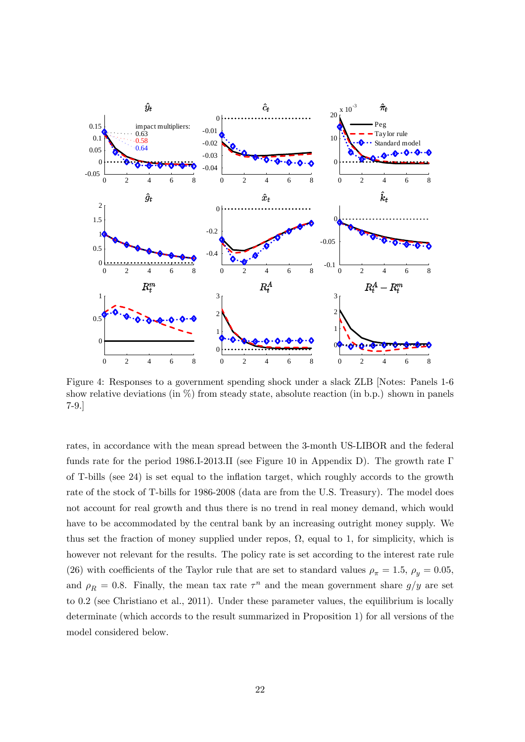

Figure 4: Responses to a government spending shock under a slack ZLB [Notes: Panels 1-6 show relative deviations (in  $\%$ ) from steady state, absolute reaction (in b.p.) shown in panels 7-9.]

rates, in accordance with the mean spread between the 3-month US-LIBOR and the federal funds rate for the period 1986.I-2013.II (see Figure 10 in Appendix D). The growth rate  $\Gamma$ of T-bills (see 24) is set equal to the inflation target, which roughly accords to the growth rate of the stock of T-bills for 1986-2008 (data are from the U.S. Treasury). The model does not account for real growth and thus there is no trend in real money demand, which would have to be accommodated by the central bank by an increasing outright money supply. We thus set the fraction of money supplied under repos,  $\Omega$ , equal to 1, for simplicity, which is however not relevant for the results. The policy rate is set according to the interest rate rule (26) with coefficients of the Taylor rule that are set to standard values  $\rho_{\pi} = 1.5$ ,  $\rho_y = 0.05$ , and  $\rho_R = 0.8$ . Finally, the mean tax rate  $\tau^n$  and the mean government share  $g/y$  are set to 0.2 (see Christiano et al., 2011). Under these parameter values, the equilibrium is locally determinate (which accords to the result summarized in Proposition 1) for all versions of the model considered below.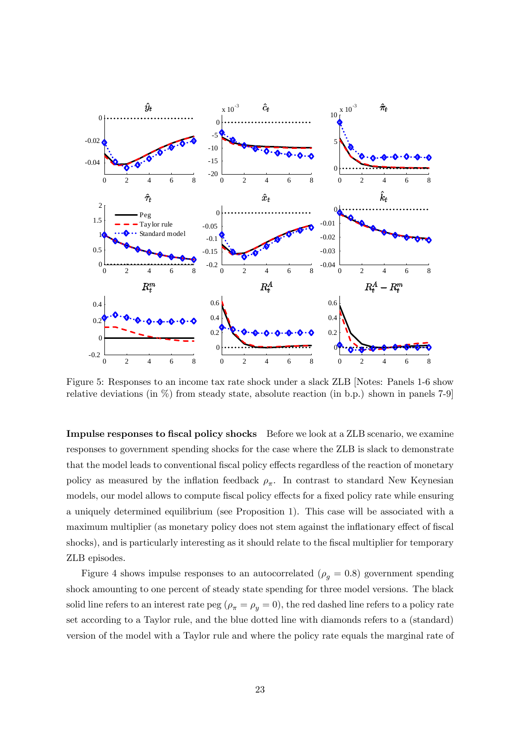

Figure 5: Responses to an income tax rate shock under a slack ZLB [Notes: Panels 1-6 show relative deviations (in %) from steady state, absolute reaction (in b.p.) shown in panels 7-9]

Impulse responses to fiscal policy shocks Before we look at a ZLB scenario, we examine responses to government spending shocks for the case where the ZLB is slack to demonstrate that the model leads to conventional fiscal policy effects regardless of the reaction of monetary policy as measured by the inflation feedback  $\rho_{\pi}$ . In contrast to standard New Keynesian models, our model allows to compute fiscal policy effects for a fixed policy rate while ensuring a uniquely determined equilibrium (see Proposition 1). This case will be associated with a maximum multiplier (as monetary policy does not stem against the inflationary effect of fiscal shocks), and is particularly interesting as it should relate to the fiscal multiplier for temporary ZLB episodes.

Figure 4 shows impulse responses to an autocorrelated ( $\rho_q = 0.8$ ) government spending shock amounting to one percent of steady state spending for three model versions. The black solid line refers to an interest rate peg  $(\rho_{\pi} = \rho_y = 0)$ , the red dashed line refers to a policy rate set according to a Taylor rule, and the blue dotted line with diamonds refers to a (standard) version of the model with a Taylor rule and where the policy rate equals the marginal rate of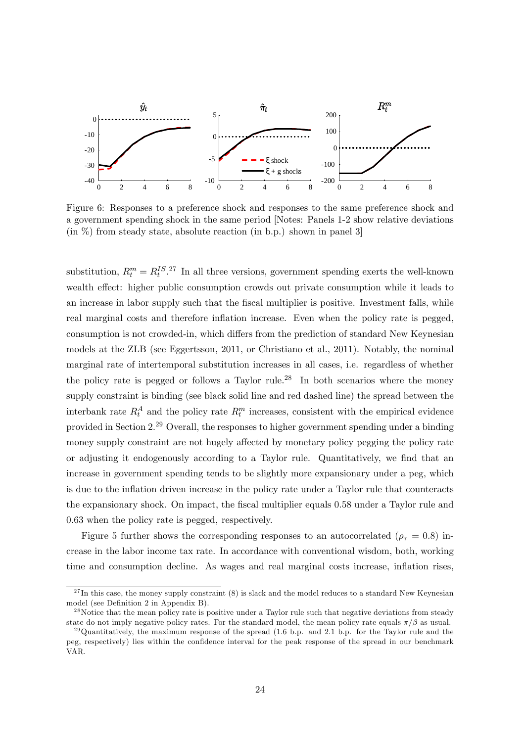

Figure 6: Responses to a preference shock and responses to the same preference shock and a government spending shock in the same period [Notes: Panels 1-2 show relative deviations  $\langle$  (in  $\%$ ) from steady state, absolute reaction (in b.p.) shown in panel 3

substitution,  $R_t^m = R_t^{IS}$ .<sup>27</sup> In all three versions, government spending exerts the well-known wealth effect: higher public consumption crowds out private consumption while it leads to an increase in labor supply such that the fiscal multiplier is positive. Investment falls, while real marginal costs and therefore inflation increase. Even when the policy rate is pegged, consumption is not crowded-in, which differs from the prediction of standard New Keynesian models at the ZLB (see Eggertsson, 2011, or Christiano et al., 2011). Notably, the nominal marginal rate of intertemporal substitution increases in all cases, i.e. regardless of whether the policy rate is pegged or follows a Taylor rule.<sup>28</sup> In both scenarios where the money supply constraint is binding (see black solid line and red dashed line) the spread between the interbank rate  $R_t^A$  and the policy rate  $R_t^m$  increases, consistent with the empirical evidence provided in Section 2.<sup>29</sup> Overall, the responses to higher government spending under a binding money supply constraint are not hugely affected by monetary policy pegging the policy rate or adjusting it endogenously according to a Taylor rule. Quantitatively, we find that an increase in government spending tends to be slightly more expansionary under a peg, which is due to the inflation driven increase in the policy rate under a Taylor rule that counteracts the expansionary shock. On impact, the fiscal multiplier equals 0.58 under a Taylor rule and 0.63 when the policy rate is pegged, respectively.

Figure 5 further shows the corresponding responses to an autocorrelated ( $\rho_{\tau} = 0.8$ ) increase in the labor income tax rate. In accordance with conventional wisdom, both, working time and consumption decline. As wages and real marginal costs increase, inflation rises,

 $27$ In this case, the money supply constraint (8) is slack and the model reduces to a standard New Keynesian model (see Definition 2 in Appendix B).

 $^{28}$ Notice that the mean policy rate is positive under a Taylor rule such that negative deviations from steady state do not imply negative policy rates. For the standard model, the mean policy rate equals  $\pi/\beta$  as usual.

 $^{29}$ Quantitatively, the maximum response of the spread (1.6 b.p. and 2.1 b.p. for the Taylor rule and the peg, respectively) lies within the confidence interval for the peak response of the spread in our benchmark VAR.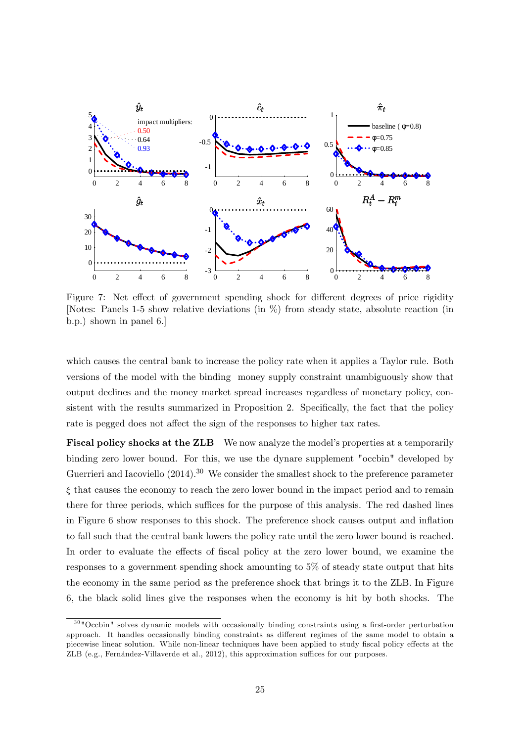

Figure 7: Net effect of government spending shock for different degrees of price rigidity [Notes: Panels 1-5 show relative deviations (in %) from steady state, absolute reaction (in b.p.) shown in panel 6.]

which causes the central bank to increase the policy rate when it applies a Taylor rule. Both versions of the model with the binding money supply constraint unambiguously show that output declines and the money market spread increases regardless of monetary policy, consistent with the results summarized in Proposition 2. Specifically, the fact that the policy rate is pegged does not affect the sign of the responses to higher tax rates.

Fiscal policy shocks at the ZLB We now analyze the model's properties at a temporarily binding zero lower bound. For this, we use the dynare supplement "occbin" developed by Guerrieri and Iacoviello  $(2014).^{30}$  We consider the smallest shock to the preference parameter  $\xi$  that causes the economy to reach the zero lower bound in the impact period and to remain there for three periods, which suffices for the purpose of this analysis. The red dashed lines in Figure 6 show responses to this shock. The preference shock causes output and ináation to fall such that the central bank lowers the policy rate until the zero lower bound is reached. In order to evaluate the effects of fiscal policy at the zero lower bound, we examine the responses to a government spending shock amounting to 5% of steady state output that hits the economy in the same period as the preference shock that brings it to the ZLB. In Figure 6, the black solid lines give the responses when the economy is hit by both shocks. The

 $30\,\text{°}$  Occbin" solves dynamic models with occasionally binding constraints using a first-order perturbation approach. It handles occasionally binding constraints as different regimes of the same model to obtain a piecewise linear solution. While non-linear techniques have been applied to study fiscal policy effects at the ZLB (e.g., Fernández-Villaverde et al.,  $2012$ ), this approximation suffices for our purposes.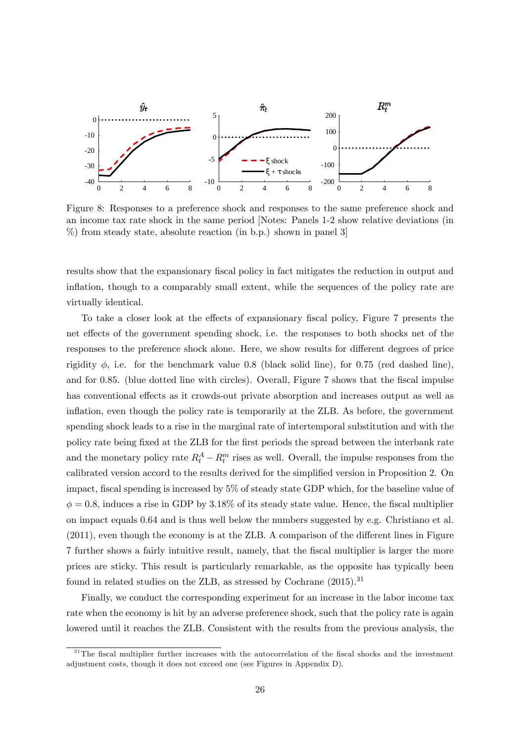

Figure 8: Responses to a preference shock and responses to the same preference shock and an income tax rate shock in the same period [Notes: Panels 1-2 show relative deviations (in %) from steady state, absolute reaction (in b.p.) shown in panel 3]

results show that the expansionary fiscal policy in fact mitigates the reduction in output and inflation, though to a comparably small extent, while the sequences of the policy rate are virtually identical.

To take a closer look at the effects of expansionary fiscal policy, Figure 7 presents the net effects of the government spending shock, i.e. the responses to both shocks net of the responses to the preference shock alone. Here, we show results for different degrees of price rigidity  $\phi$ , i.e. for the benchmark value 0.8 (black solid line), for 0.75 (red dashed line), and for  $0.85$ . (blue dotted line with circles). Overall, Figure 7 shows that the fiscal impulse has conventional effects as it crowds-out private absorption and increases output as well as inflation, even though the policy rate is temporarily at the ZLB. As before, the government spending shock leads to a rise in the marginal rate of intertemporal substitution and with the policy rate being Öxed at the ZLB for the Örst periods the spread between the interbank rate and the monetary policy rate  $R_t^A - R_t^m$  rises as well. Overall, the impulse responses from the calibrated version accord to the results derived for the simplified version in Proposition 2. On impact, fiscal spending is increased by  $5\%$  of steady state GDP which, for the baseline value of  $\phi = 0.8$ , induces a rise in GDP by 3.18% of its steady state value. Hence, the fiscal multiplier on impact equals 0.64 and is thus well below the numbers suggested by e.g. Christiano et al.  $(2011)$ , even though the economy is at the ZLB. A comparison of the different lines in Figure 7 further shows a fairly intuitive result, namely, that the Öscal multiplier is larger the more prices are sticky. This result is particularly remarkable, as the opposite has typically been found in related studies on the ZLB, as stressed by Cochrane  $(2015)^{31}$ 

Finally, we conduct the corresponding experiment for an increase in the labor income tax rate when the economy is hit by an adverse preference shock, such that the policy rate is again lowered until it reaches the ZLB. Consistent with the results from the previous analysis, the

 $31$ The fiscal multiplier further increases with the autocorrelation of the fiscal shocks and the investment adjustment costs, though it does not exceed one (see Figures in Appendix D).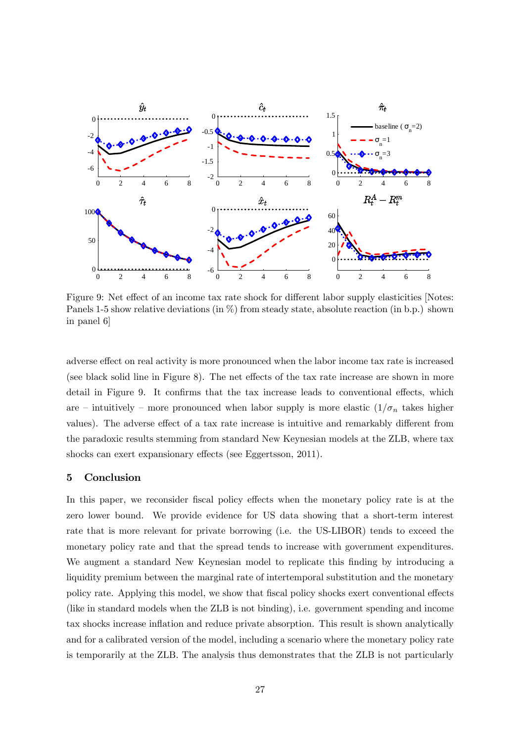

Figure 9: Net effect of an income tax rate shock for different labor supply elasticities [Notes: Panels 1-5 show relative deviations (in  $\%$ ) from steady state, absolute reaction (in b.p.) shown in panel 6]

adverse effect on real activity is more pronounced when the labor income tax rate is increased (see black solid line in Figure 8). The net effects of the tax rate increase are shown in more detail in Figure 9. It confirms that the tax increase leads to conventional effects, which are – intuitively – more pronounced when labor supply is more elastic  $(1/\sigma_n)$  takes higher values). The adverse effect of a tax rate increase is intuitive and remarkably different from the paradoxic results stemming from standard New Keynesian models at the ZLB, where tax shocks can exert expansionary effects (see Eggertsson, 2011).

#### 5 Conclusion

In this paper, we reconsider fiscal policy effects when the monetary policy rate is at the zero lower bound. We provide evidence for US data showing that a short-term interest rate that is more relevant for private borrowing (i.e. the US-LIBOR) tends to exceed the monetary policy rate and that the spread tends to increase with government expenditures. We augment a standard New Keynesian model to replicate this finding by introducing a liquidity premium between the marginal rate of intertemporal substitution and the monetary policy rate. Applying this model, we show that fiscal policy shocks exert conventional effects (like in standard models when the ZLB is not binding), i.e. government spending and income tax shocks increase inflation and reduce private absorption. This result is shown analytically and for a calibrated version of the model, including a scenario where the monetary policy rate is temporarily at the ZLB. The analysis thus demonstrates that the ZLB is not particularly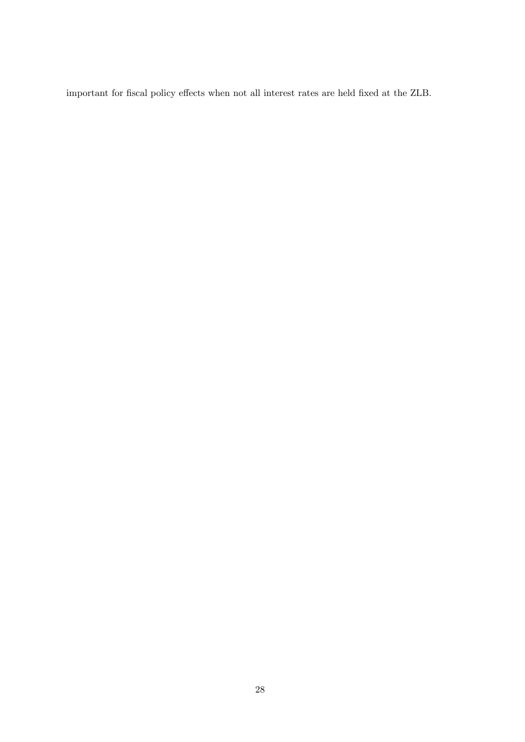important for fiscal policy effects when not all interest rates are held fixed at the ZLB.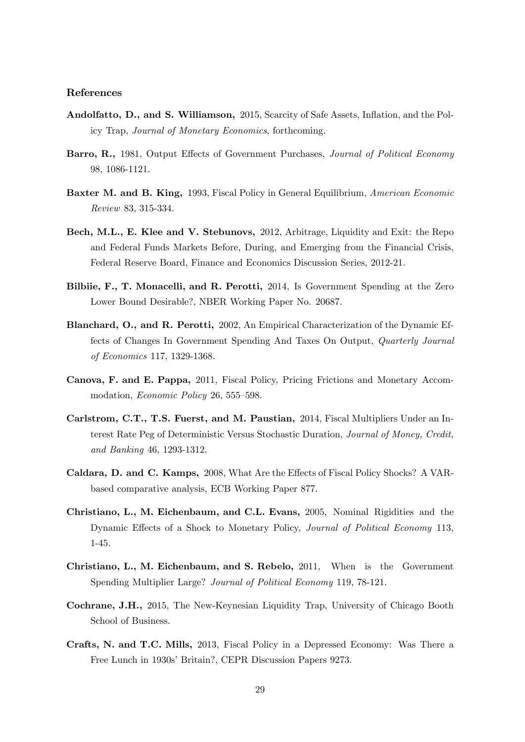#### References

- Andolfatto, D., and S. Williamson, 2015, Scarcity of Safe Assets, Inflation, and the Policy Trap, Journal of Monetary Economics, forthcoming.
- Barro, R., 1981, Output Effects of Government Purchases, *Journal of Political Economy* 98, 1086-1121.
- Baxter M. and B. King, 1993, Fiscal Policy in General Equilibrium, American Economic Review 83, 315-334.
- Bech, M.L., E. Klee and V. Stebunovs, 2012, Arbitrage, Liquidity and Exit: the Repo and Federal Funds Markets Before, During, and Emerging from the Financial Crisis, Federal Reserve Board, Finance and Economics Discussion Series, 2012-21.
- Bilbiie, F., T. Monacelli, and R. Perotti, 2014, Is Government Spending at the Zero Lower Bound Desirable?, NBER Working Paper No. 20687.
- Blanchard, O., and R. Perotti, 2002, An Empirical Characterization of the Dynamic Effects of Changes In Government Spending And Taxes On Output, Quarterly Journal of Economics 117, 1329-1368.
- Canova, F. and E. Pappa, 2011, Fiscal Policy, Pricing Frictions and Monetary Accommodation, *Economic Policy* 26, 555–598.
- Carlstrom, C.T., T.S. Fuerst, and M. Paustian, 2014, Fiscal Multipliers Under an Interest Rate Peg of Deterministic Versus Stochastic Duration, Journal of Money, Credit, and Banking 46, 1293-1312.
- Caldara, D. and C. Kamps, 2008, What Are the Effects of Fiscal Policy Shocks? A VARbased comparative analysis, ECB Working Paper 877.
- Christiano, L., M. Eichenbaum, and C.L. Evans, 2005, Nominal Rigidities and the Dynamic Effects of a Shock to Monetary Policy, Journal of Political Economy 113, 1-45.
- Christiano, L., M. Eichenbaum, and S. Rebelo, 2011, When is the Government Spending Multiplier Large? Journal of Political Economy 119, 78-121.
- Cochrane, J.H., 2015, The New-Keynesian Liquidity Trap, University of Chicago Booth School of Business.
- Crafts, N. and T.C. Mills, 2013, Fiscal Policy in a Depressed Economy: Was There a Free Lunch in 1930s' Britain?, CEPR Discussion Papers 9273.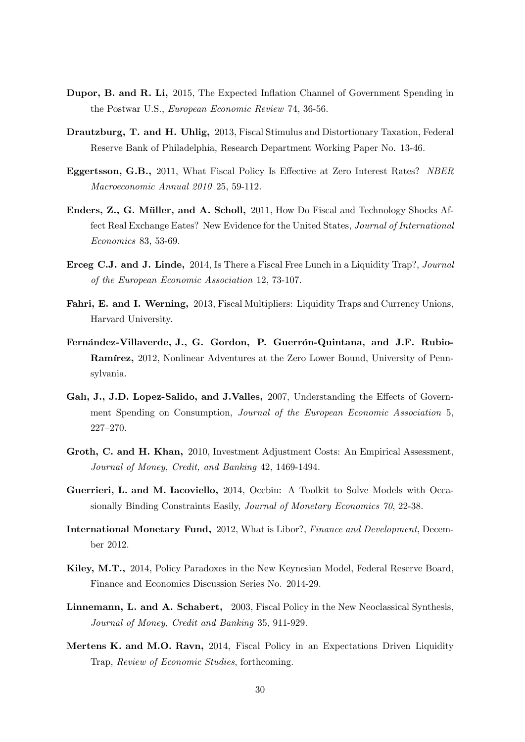- Dupor, B. and R. Li, 2015, The Expected Inflation Channel of Government Spending in the Postwar U.S., European Economic Review 74, 36-56.
- Drautzburg, T. and H. Uhlig, 2013, Fiscal Stimulus and Distortionary Taxation, Federal Reserve Bank of Philadelphia, Research Department Working Paper No. 13-46.
- Eggertsson, G.B., 2011, What Fiscal Policy Is Effective at Zero Interest Rates? NBER Macroeconomic Annual 2010 25, 59-112.
- Enders, Z., G. Müller, and A. Scholl, 2011, How Do Fiscal and Technology Shocks Affect Real Exchange Eates? New Evidence for the United States, Journal of International Economics 83, 53-69.
- Erceg C.J. and J. Linde, 2014, Is There a Fiscal Free Lunch in a Liquidity Trap?, Journal of the European Economic Association 12, 73-107.
- Fahri, E. and I. Werning, 2013, Fiscal Multipliers: Liquidity Traps and Currency Unions, Harvard University.
- Fernández-Villaverde, J., G. Gordon, P. Guerrón-Quintana, and J.F. Rubio-**Ramírez,** 2012, Nonlinear Adventures at the Zero Lower Bound, University of Pennsylvania.
- Gali, J., J.D. Lopez-Salido, and J.Valles, 2007, Understanding the Effects of Government Spending on Consumption, Journal of the European Economic Association 5, 227-270.
- Groth, C. and H. Khan, 2010, Investment Adjustment Costs: An Empirical Assessment, Journal of Money, Credit, and Banking 42, 1469-1494.
- Guerrieri, L. and M. Iacoviello, 2014, Occbin: A Toolkit to Solve Models with Occasionally Binding Constraints Easily, Journal of Monetary Economics 70, 22-38.
- International Monetary Fund, 2012, What is Libor?, Finance and Development, December 2012.
- Kiley, M.T., 2014, Policy Paradoxes in the New Keynesian Model, Federal Reserve Board, Finance and Economics Discussion Series No. 2014-29.
- Linnemann, L. and A. Schabert, 2003, Fiscal Policy in the New Neoclassical Synthesis, Journal of Money, Credit and Banking 35, 911-929.
- Mertens K. and M.O. Ravn, 2014, Fiscal Policy in an Expectations Driven Liquidity Trap, Review of Economic Studies, forthcoming.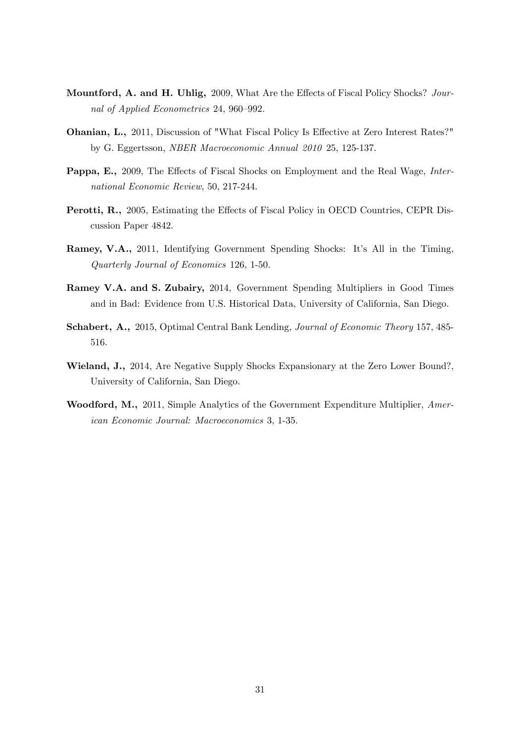- Mountford, A. and H. Uhlig, 2009, What Are the Effects of Fiscal Policy Shocks? Journal of Applied Econometrics 24, 960–992.
- **Ohanian, L.,** 2011, Discussion of "What Fiscal Policy Is Effective at Zero Interest Rates?" by G. Eggertsson, NBER Macroeconomic Annual 2010 25, 125-137.
- Pappa, E., 2009, The Effects of Fiscal Shocks on Employment and the Real Wage, International Economic Review, 50, 217-244.
- Perotti, R., 2005, Estimating the Effects of Fiscal Policy in OECD Countries, CEPR Discussion Paper 4842.
- Ramey, V.A., 2011, Identifying Government Spending Shocks: It's All in the Timing, Quarterly Journal of Economics 126, 1-50.
- Ramey V.A. and S. Zubairy, 2014, Government Spending Multipliers in Good Times and in Bad: Evidence from U.S. Historical Data, University of California, San Diego.
- Schabert, A., 2015, Optimal Central Bank Lending, *Journal of Economic Theory* 157, 485-516.
- Wieland, J., 2014, Are Negative Supply Shocks Expansionary at the Zero Lower Bound?, University of California, San Diego.
- Woodford, M., 2011, Simple Analytics of the Government Expenditure Multiplier, American Economic Journal: Macroeconomics 3, 1-35.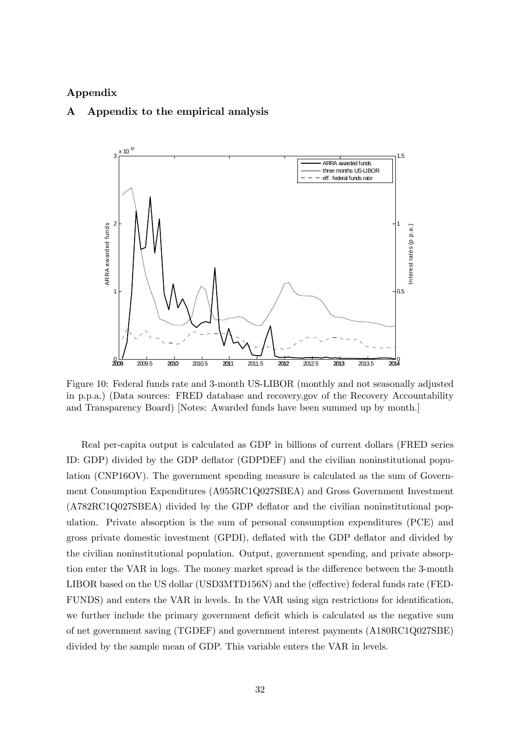#### Appendix

#### A Appendix to the empirical analysis



Figure 10: Federal funds rate and 3-month US-LIBOR (monthly and not seasonally adjusted in p.p.a.) (Data sources: FRED database and recovery.gov of the Recovery Accountability and Transparency Board) [Notes: Awarded funds have been summed up by month.]

Real per-capita output is calculated as GDP in billions of current dollars (FRED series ID: GDP) divided by the GDP deáator (GDPDEF) and the civilian noninstitutional population (CNP16OV). The government spending measure is calculated as the sum of Government Consumption Expenditures (A955RC1Q027SBEA) and Gross Government Investment (A782RC1Q027SBEA) divided by the GDP deáator and the civilian noninstitutional population. Private absorption is the sum of personal consumption expenditures (PCE) and gross private domestic investment (GPDI), deáated with the GDP deáator and divided by the civilian noninstitutional population. Output, government spending, and private absorption enter the VAR in logs. The money market spread is the difference between the 3-month LIBOR based on the US dollar (USD3MTD156N) and the (effective) federal funds rate (FED-FUNDS) and enters the VAR in levels. In the VAR using sign restrictions for identification, we further include the primary government deficit which is calculated as the negative sum of net government saving (TGDEF) and government interest payments (A180RC1Q027SBE) divided by the sample mean of GDP. This variable enters the VAR in levels.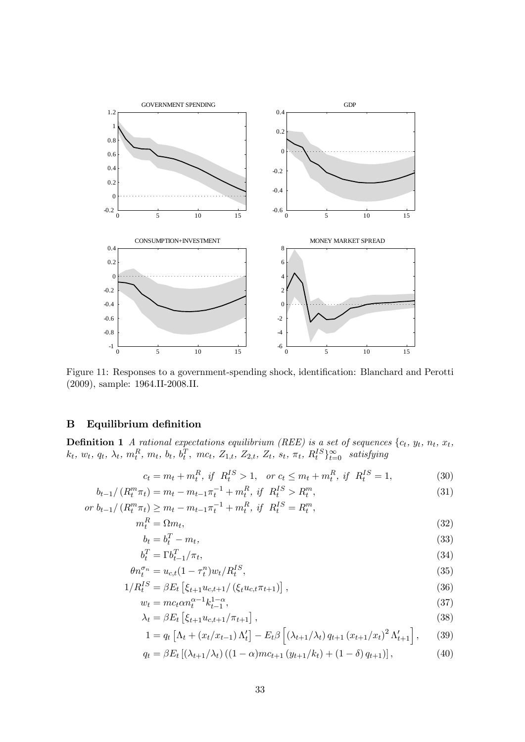

Figure 11: Responses to a government-spending shock, identification: Blanchard and Perotti (2009), sample: 1964.II-2008.II.

#### B Equilibrium definition

**Definition 1** A rational expectations equilibrium (REE) is a set of sequences  $\{c_t, y_t, n_t, x_t\}$  $k_t, w_t, q_t, \lambda_t, m_t^R, m_t, b_t, b_t^T, mc_t, Z_{1,t}, Z_{2,t}, Z_t, s_t, \pi_t, R_t^{IS} \}_{t=0}^{\infty}$  satisfying

$$
c_t = m_t + m_t^R
$$
, if  $R_t^{IS} > 1$ , or  $c_t \le m_t + m_t^R$ , if  $R_t^{IS} = 1$ , (30)

$$
b_{t-1}/\left(R_t^m \pi_t\right) = m_t - m_{t-1} \pi_t^{-1} + m_t^R, \text{ if } R_t^{IS} > R_t^m,
$$
  
or 
$$
b_{t-1}/\left(R_t^m \pi_t\right) \ge m_t - m_{t-1} \pi_t^{-1} + m_t^R, \text{ if } R_t^{IS} = R_t^m,
$$
 (31)

$$
m_t^R = \Omega m_t,\tag{32}
$$

$$
b_t = b_t^T - m_t,\tag{33}
$$

$$
b_t^T = \Gamma b_{t-1}^T / \pi_t,\tag{34}
$$

$$
\theta n_t^{\sigma_n} = u_{c,t} (1 - \tau_t^n) w_t / R_t^{IS},\tag{35}
$$

$$
1/R_t^{IS} = \beta E_t \left[ \xi_{t+1} u_{c,t+1} / (\xi_t u_{c,t} \pi_{t+1}) \right],
$$
\n(36)

$$
w_t = mc_t \alpha n_t^{\alpha - 1} k_{t-1}^{1 - \alpha}, \tag{37}
$$

$$
\lambda_t = \beta E_t \left[ \xi_{t+1} u_{c,t+1} / \pi_{t+1} \right],\tag{38}
$$

$$
1 = q_t \left[ \Lambda_t + (x_t/x_{t-1}) \Lambda'_t \right] - E_t \beta \left[ \left( \lambda_{t+1} / \lambda_t \right) q_{t+1} \left( x_{t+1} / x_t \right)^2 \Lambda'_{t+1} \right], \tag{39}
$$

$$
q_t = \beta E_t \left[ \left( \lambda_{t+1} / \lambda_t \right) \left( (1 - \alpha) m c_{t+1} \left( y_{t+1} / k_t \right) + (1 - \delta) q_{t+1} \right) \right],\tag{40}
$$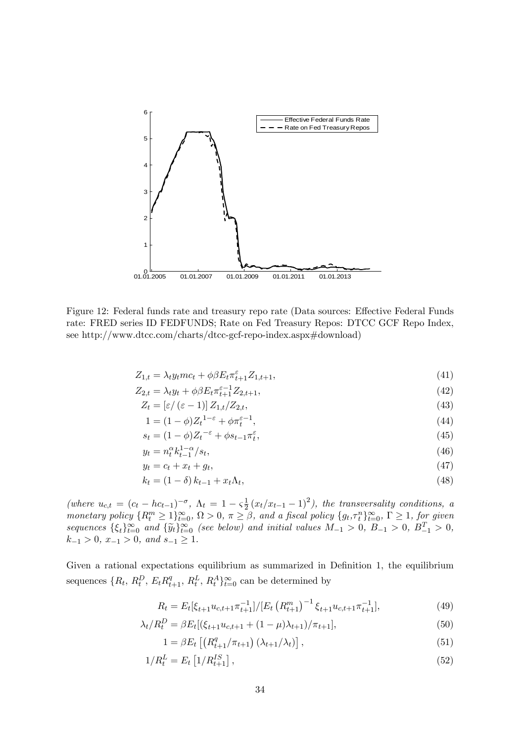

Figure 12: Federal funds rate and treasury repo rate (Data sources: Effective Federal Funds rate: FRED series ID FEDFUNDS; Rate on Fed Treasury Repos: DTCC GCF Repo Index, see http://www.dtcc.com/charts/dtcc-gcf-repo-index.aspx#download)

$$
Z_{1,t} = \lambda_t y_t m c_t + \phi \beta E_t \pi_{t+1}^{\varepsilon} Z_{1,t+1},\tag{41}
$$

$$
Z_{2,t} = \lambda_t y_t + \phi \beta E_t \pi_{t+1}^{\varepsilon - 1} Z_{2,t+1},
$$
\n(42)

$$
Z_t = \left[\varepsilon/(\varepsilon - 1)\right] Z_{1,t}/Z_{2,t},\tag{43}
$$

$$
1 = (1 - \phi)Z_t^{1 - \varepsilon} + \phi \pi_t^{\varepsilon - 1},
$$
\n(44)

$$
s_t = (1 - \phi)Z_t^{-\varepsilon} + \phi s_{t-1} \pi_t^{\varepsilon}, \tag{45}
$$

$$
y_t = n_t^{\alpha} k_{t-1}^{1-\alpha} / s_t,\tag{46}
$$

$$
y_t = c_t + x_t + g_t,\tag{47}
$$

$$
k_t = (1 - \delta) k_{t-1} + x_t \Lambda_t, \tag{48}
$$

(where  $u_{c,t} = (c_t - hc_{t-1})^{-\sigma}, \ \Lambda_t = 1 - \varsigma \frac{1}{2}$  $\frac{1}{2}(x_t/x_{t-1} - 1)^2$ , the transversality conditions, a monetary policy  $\{R_t^m \geq 1\}_{t=0}^{\infty}$ ,  $\Omega > 0$ ,  $\pi \geq \beta$ , and a fiscal policy  $\{g_t, \tau_t^n\}_{t=0}^{\infty}$ ,  $\Gamma \geq 1$ , for given sequences  $\{\xi_t\}_{t=0}^{\infty}$  and  $\{\widetilde{y}_t\}_{t=0}^{\infty}$  (see below) and initial values  $M_{-1} > 0$ ,  $B_{-1} > 0$ ,  $B_{-1}^T > 0$ ,  $k_{-1} > 0$ ,  $x_{-1} > 0$ , and  $s_{-1} \geq 1$ .

Given a rational expectations equilibrium as summarized in Definition 1, the equilibrium sequences  $\{R_t, R_t^D, E_t R_{t+1}^q, R_t^L, R_t^A \}_{t=0}^{\infty}$  can be determined by

$$
R_t = E_t[\xi_{t+1}u_{c,t+1}\pi_{t+1}^{-1}]/[E_t\left(R_{t+1}^m\right)^{-1}\xi_{t+1}u_{c,t+1}\pi_{t+1}^{-1}],\tag{49}
$$

$$
\lambda_t / R_t^D = \beta E_t [(\xi_{t+1} u_{c,t+1} + (1 - \mu)\lambda_{t+1}) / \pi_{t+1}], \tag{50}
$$

$$
1 = \beta E_t \left[ \left( R_{t+1}^q / \pi_{t+1} \right) \left( \lambda_{t+1} / \lambda_t \right) \right], \tag{51}
$$

$$
1/R_t^L = E_t \left[ 1/R_{t+1}^{IS} \right],\tag{52}
$$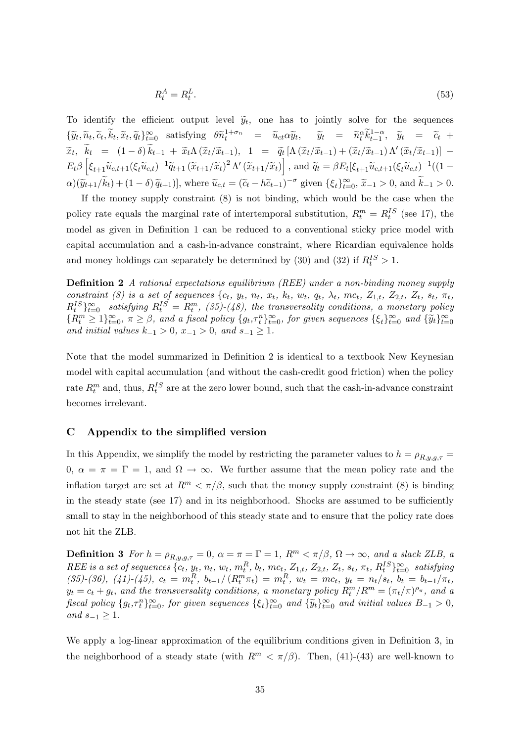$$
R_t^A = R_t^L. \tag{53}
$$

To identify the efficient output level  $\widetilde{y}_t$ , one has to jointly solve for the sequences  $\{\widetilde{y}_t, \widetilde{n}_t, \widetilde{c}_t, \widetilde{k}_t, \widetilde{x}_t, \widetilde{q}_t\}_{t=0}^{\infty}$  satisfying  $\theta \widetilde{n}_t^{1+\sigma_n} = \widetilde{u}_{ct} \alpha \widetilde{y}_t, \quad \widetilde{y}_t = \widetilde{n}_t^{\alpha} \widetilde{k}_{t-1}^{1-\alpha}, \widetilde{y}_t = \widetilde{c}_t + \widetilde{c}_t$  $\widetilde{x}_t, \quad k_t = (1-\delta) k_{t-1} + \widetilde{x}_t \Lambda \left( \widetilde{x}_t / \widetilde{x}_{t-1} \right), \quad 1 = \widetilde{q}_t \left[ \Lambda \left( \widetilde{x}_t / \widetilde{x}_{t-1} \right) + \left( \widetilde{x}_t / \widetilde{x}_{t-1} \right) \Lambda' \left( \widetilde{x}_t / \widetilde{x}_{t-1} \right) \right] - \widetilde{q}_t \left[ \Lambda \left( \widetilde{x}_t / \widetilde{x}_{t-1} \right) + \left( \widetilde{x}_t / \widetilde{x}_{t-1} \right) \Lambda$  $E_t \beta \left[ \xi_{t+1} \widetilde{u}_{c,t+1} (\xi_t \widetilde{u}_{c,t})^{-1} \widetilde{q}_{t+1} (\widetilde{x}_{t+1}/\widetilde{x}_t)^2 \Lambda' (\widetilde{x}_{t+1}/\widetilde{x}_t) \right],$  and  $\widetilde{q}_t = \beta E_t [\xi_{t+1} \widetilde{u}_{c,t+1} (\xi_t \widetilde{u}_{c,t})^{-1} ((1-\widetilde{x}_{t+1}) \widetilde{u}_{c,t+1})]$  $\alpha)(\widetilde{y}_{t+1}/\widetilde{k}_t) + (1-\delta)\widetilde{q}_{t+1})$ , where  $\widetilde{u}_{c,t} = (\widetilde{c}_t - h\widetilde{c}_{t-1})^{-\sigma}$  given  $\{\xi_t\}_{t=0}^{\infty}, \widetilde{x}_{-1} > 0$ , and  $\widetilde{k}_{-1} > 0$ .

If the money supply constraint (8) is not binding, which would be the case when the policy rate equals the marginal rate of intertemporal substitution,  $R_t^m = R_t^{IS}$  (see 17), the model as given in Definition 1 can be reduced to a conventional sticky price model with capital accumulation and a cash-in-advance constraint, where Ricardian equivalence holds and money holdings can separately be determined by (30) and (32) if  $R_t^{IS} > 1$ .

**Definition 2** A rational expectations equilibrium (REE) under a non-binding money supply constraint (8) is a set of sequences  $\{c_t, y_t, n_t, x_t, k_t, w_t, q_t, \lambda_t, mc_t, Z_{1,t}, Z_{2,t}, Z_t, s_t, \pi_t,$  $R_t^{IS}$  atisfying  $R_t^{IS} = R_t^m$ , (35)-(48), the transversality conditions, a monetary policy  ${R_t^m \geq 1}_{t=0}^{\infty}$ ,  $\pi \geq \beta$ , and a fiscal policy  ${g_t, \tau_t^n}_{t=0}^{\infty}$ , for given sequences  ${\xi_t}_{t=0}^{\infty}$  and  ${\tilde{y}_t}_{t=0}^{\infty}$ and initial values  $k_{-1} > 0$ ,  $x_{-1} > 0$ , and  $s_{-1} \geq 1$ .

Note that the model summarized in Definition 2 is identical to a textbook New Keynesian model with capital accumulation (and without the cash-credit good friction) when the policy rate  $R_t^m$  and, thus,  $R_t^{IS}$  are at the zero lower bound, such that the cash-in-advance constraint becomes irrelevant.

#### C Appendix to the simplified version

In this Appendix, we simplify the model by restricting the parameter values to  $h = \rho_{R,y,g,\tau} =$  $0, \alpha = \pi = \Gamma = 1$ , and  $\Omega \to \infty$ . We further assume that the mean policy rate and the inflation target are set at  $R^m < \pi/\beta$ , such that the money supply constraint (8) is binding in the steady state (see  $17$ ) and in its neighborhood. Shocks are assumed to be sufficiently small to stay in the neighborhood of this steady state and to ensure that the policy rate does not hit the ZLB.

**Definition 3** For  $h = \rho_{R,y,g,\tau} = 0$ ,  $\alpha = \pi = \Gamma = 1$ ,  $R^m < \pi/\beta$ ,  $\Omega \to \infty$ , and a slack ZLB, a  $REE$  is a set of sequences  $\{c_t, y_t, n_t, w_t, m_t^R, b_t, mc_t, Z_{1,t}, Z_{2,t}, Z_t, s_t, \pi_t, R_t^{IS}\}_{t=0}^{\infty}$  satisfying (35)-(36), (41)-(45),  $c_t = m_t^R$ ,  $b_{t-1}/(R_t^m \pi_t) = m_t^R$ ,  $w_t = mc_t$ ,  $y_t = n_t/s_t$ ,  $b_t = b_{t-1}/\pi_t$ ,  $y_t = c_t + g_t$ , and the transversality conditions, a monetary policy  $R_t^m / R^m = (\pi_t / \pi)^{\rho_{\pi}},$  and a fiscal policy  $\{g_t, \tau_t^n\}_{t=0}^{\infty}$ , for given sequences  $\{\xi_t\}_{t=0}^{\infty}$  and  $\{\widetilde{y}_t\}_{t=0}^{\infty}$  and initial values  $B_{-1} > 0$ , and  $s_{-1} > 1$ .

We apply a log-linear approximation of the equilibrium conditions given in Definition 3, in the neighborhood of a steady state (with  $R^m < \pi/\beta$ ). Then, (41)-(43) are well-known to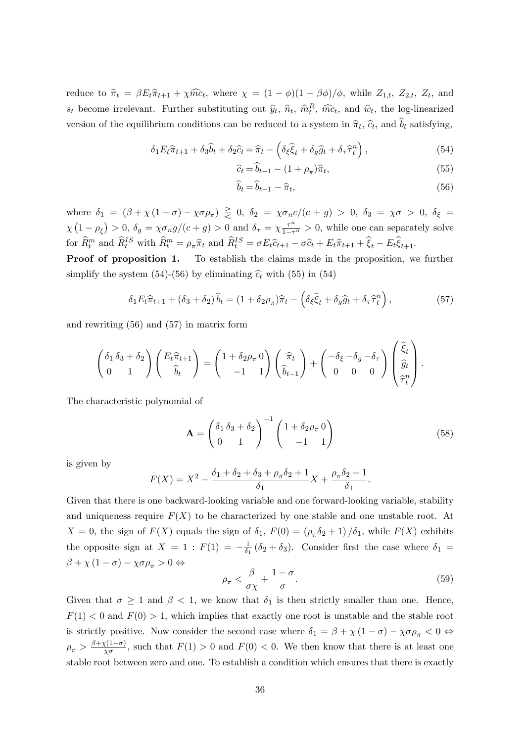reduce to  $\hat{\pi}_t = \beta E_t \hat{\pi}_{t+1} + \chi \hat{m} c_t$ , where  $\chi = (1 - \phi)(1 - \beta \phi)/\phi$ , while  $Z_{1,t}$ ,  $Z_{2,t}$ ,  $Z_t$ , and  $s_t$  become irrelevant. Further substituting out  $\hat{y}_t$ ,  $\hat{n}_t$ ,  $\hat{m}_t^R$ ,  $\hat{m}_t$ , and  $\hat{w}_t$ , the log-linearized version of the equilibrium conditions can be reduced to a system in  $\hat{\pi}_t$ ,  $\hat{c}_t$ , and  $b_t$  satisfying,

$$
\delta_1 E_t \hat{\pi}_{t+1} + \delta_3 \hat{b}_t + \delta_2 \hat{c}_t = \hat{\pi}_t - \left( \delta_\xi \hat{\xi}_t + \delta_g \hat{g}_t + \delta_\tau \hat{\tau}_t^n \right),\tag{54}
$$

$$
\widehat{c}_t = \widehat{b}_{t-1} - (1 + \rho_\pi)\widehat{\pi}_t,\tag{55}
$$

$$
\widehat{b}_t = \widehat{b}_{t-1} - \widehat{\pi}_t,\tag{56}
$$

where  $\delta_1 = (\beta + \chi(1-\sigma) - \chi\sigma\rho_\pi) \geq 0$ ,  $\delta_2 = \chi\sigma_n c/(c+g) > 0$ ,  $\delta_3 = \chi\sigma > 0$ ,  $\delta_\xi =$  $\chi\left(1-\rho_{\xi}\right) > 0, \delta_{g} = \chi \sigma_{n}g/(c+g) > 0$  and  $\delta_{\tau} = \chi \frac{\tau^{n}}{1-\tau^{n}} > 0$ , while one can separately solve for  $\widehat{R}_t^m$  and  $\widehat{R}_t^{IS}$  with  $\widehat{R}_t^m = \rho_{\pi} \widehat{\pi}_t$  and  $\widehat{R}_t^{IS} = \sigma E_t \widehat{c}_{t+1} - \sigma \widehat{c}_t + E_t \widehat{\pi}_{t+1} + \widehat{\xi}_t - E_t \widehat{\xi}_{t+1}$ .

Proof of proposition 1. To establish the claims made in the proposition, we further simplify the system (54)-(56) by eliminating  $\hat{c}_t$  with (55) in (54)

$$
\delta_1 E_t \hat{\pi}_{t+1} + (\delta_3 + \delta_2) \hat{b}_t = (1 + \delta_2 \rho_\pi) \hat{\pi}_t - \left( \delta_\xi \hat{\xi}_t + \delta_g \hat{g}_t + \delta_\tau \hat{\tau}_t^n \right), \tag{57}
$$

and rewriting (56) and (57) in matrix form

$$
\begin{pmatrix}\n\delta_1 \delta_3 + \delta_2 \\
0 & 1\n\end{pmatrix}\n\begin{pmatrix}\nE_t \hat{\pi}_{t+1} \\
\hat{\delta}_t\n\end{pmatrix} =\n\begin{pmatrix}\n1 + \delta_2 \rho_\pi \ 0 \\
-1 & 1\n\end{pmatrix}\n\begin{pmatrix}\n\hat{\pi}_t \\
\hat{\delta}_{t-1}\n\end{pmatrix} +\n\begin{pmatrix}\n-\delta_\xi - \delta_g - \delta_\tau \\
0 & 0\n\end{pmatrix}\n\begin{pmatrix}\n\hat{\xi}_t \\
\hat{g}_t \\
\hat{\tau}_t^n\n\end{pmatrix}.
$$

The characteristic polynomial of

$$
\mathbf{A} = \begin{pmatrix} \delta_1 \delta_3 + \delta_2 \\ 0 & 1 \end{pmatrix}^{-1} \begin{pmatrix} 1 + \delta_2 \rho_\pi \mathbf{0} \\ -1 & 1 \end{pmatrix} \tag{58}
$$

is given by

$$
F(X) = X^{2} - \frac{\delta_{1} + \delta_{2} + \delta_{3} + \rho_{\pi}\delta_{2} + 1}{\delta_{1}}X + \frac{\rho_{\pi}\delta_{2} + 1}{\delta_{1}}.
$$

Given that there is one backward-looking variable and one forward-looking variable, stability and uniqueness require  $F(X)$  to be characterized by one stable and one unstable root. At  $X = 0$ , the sign of  $F(X)$  equals the sign of  $\delta_1$ ,  $F(0) = (\rho_\pi \delta_2 + 1)/\delta_1$ , while  $F(X)$  exhibits the opposite sign at  $X = 1$ :  $F(1) = -\frac{1}{\delta_1}$  $\frac{1}{\delta_1}$  ( $\delta_2 + \delta_3$ ). Consider first the case where  $\delta_1 =$  $\beta + \chi (1 - \sigma) - \chi \sigma \rho_{\pi} > 0 \Leftrightarrow$ 

$$
\rho_{\pi} < \frac{\beta}{\sigma \chi} + \frac{1 - \sigma}{\sigma}.\tag{59}
$$

Given that  $\sigma \geq 1$  and  $\beta < 1$ , we know that  $\delta_1$  is then strictly smaller than one. Hence,  $F(1) < 0$  and  $F(0) > 1$ , which implies that exactly one root is unstable and the stable root is strictly positive. Now consider the second case where  $\delta_1 = \beta + \chi (1 - \sigma) - \chi \sigma \rho_{\pi} < 0 \Leftrightarrow$  $\rho_{\pi} > \frac{\beta + \chi(1-\sigma)}{\chi\sigma}$ , such that  $F(1) > 0$  and  $F(0) < 0$ . We then know that there is at least one stable root between zero and one. To establish a condition which ensures that there is exactly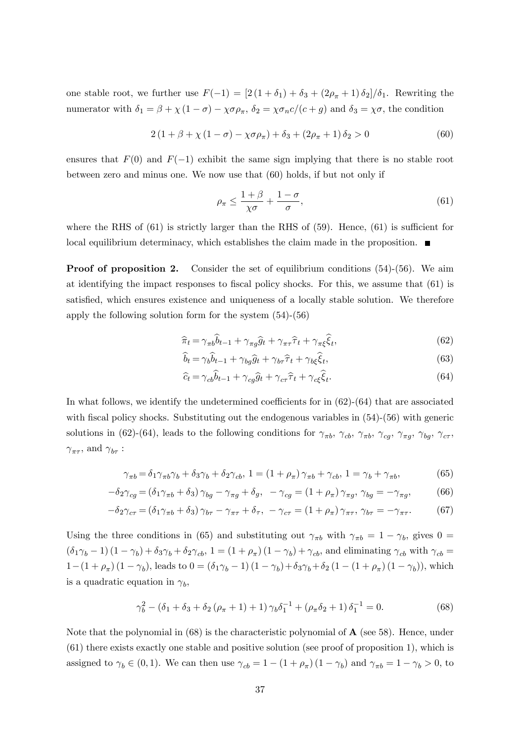one stable root, we further use  $F(-1) = [2(1 + \delta_1) + \delta_3 + (2\rho_{\pi} + 1)\delta_2]/\delta_1$ . Rewriting the numerator with  $\delta_1 = \beta + \chi (1 - \sigma) - \chi \sigma \rho_\pi$ ,  $\delta_2 = \chi \sigma_n c/(c + g)$  and  $\delta_3 = \chi \sigma$ , the condition

$$
2(1 + \beta + \chi(1 - \sigma) - \chi\sigma\rho_{\pi}) + \delta_3 + (2\rho_{\pi} + 1)\delta_2 > 0
$$
 (60)

ensures that  $F(0)$  and  $F(-1)$  exhibit the same sign implying that there is no stable root between zero and minus one. We now use that (60) holds, if but not only if

$$
\rho_{\pi} \le \frac{1+\beta}{\chi\sigma} + \frac{1-\sigma}{\sigma},\tag{61}
$$

where the RHS of  $(61)$  is strictly larger than the RHS of  $(59)$ . Hence,  $(61)$  is sufficient for local equilibrium determinacy, which establishes the claim made in the proposition.  $\blacksquare$ 

**Proof of proposition 2.** Consider the set of equilibrium conditions (54)-(56). We aim at identifying the impact responses to fiscal policy shocks. For this, we assume that  $(61)$  is satisfied, which ensures existence and uniqueness of a locally stable solution. We therefore apply the following solution form for the system (54)-(56)

$$
\widehat{\pi}_t = \gamma_{\pi t} \widehat{b}_{t-1} + \gamma_{\pi g} \widehat{g}_t + \gamma_{\pi \tau} \widehat{\tau}_t + \gamma_{\pi \xi} \widehat{\xi}_t,\tag{62}
$$

$$
\widehat{b}_t = \gamma_b \widehat{b}_{t-1} + \gamma_{bg} \widehat{g}_t + \gamma_{b\tau} \widehat{\tau}_t + \gamma_{b\xi} \widehat{\xi}_t,\tag{63}
$$

$$
\hat{c}_t = \gamma_{cb}\hat{b}_{t-1} + \gamma_{cg}\hat{g}_t + \gamma_{cr}\hat{\tau}_t + \gamma_{c\xi}\hat{\xi}_t.
$$
\n(64)

In what follows, we identify the undetermined coefficients for in  $(62)-(64)$  that are associated with fiscal policy shocks. Substituting out the endogenous variables in  $(54)-(56)$  with generic solutions in (62)-(64), leads to the following conditions for  $\gamma_{\pi b}$ ,  $\gamma_{cb}$ ,  $\gamma_{\pi b}$ ,  $\gamma_{ca}$ ,  $\gamma_{\pi a}$ ,  $\gamma_{ba}$ ,  $\gamma_{c\tau}$ ,  $\gamma_{\pi\tau}$ , and  $\gamma_{b\tau}$ :

$$
\gamma_{\pi b} = \delta_1 \gamma_{\pi b} \gamma_b + \delta_3 \gamma_b + \delta_2 \gamma_{cb}, \ 1 = (1 + \rho_{\pi}) \gamma_{\pi b} + \gamma_{cb}, \ 1 = \gamma_b + \gamma_{\pi b}, \tag{65}
$$

$$
-\delta_2 \gamma_{cg} = (\delta_1 \gamma_{\pi b} + \delta_3) \gamma_{bg} - \gamma_{\pi g} + \delta_g, \quad -\gamma_{cg} = (1 + \rho_{\pi}) \gamma_{\pi g}, \quad \gamma_{bg} = -\gamma_{\pi g}, \tag{66}
$$

$$
-\delta_2 \gamma_{c\tau} = (\delta_1 \gamma_{\pi b} + \delta_3) \gamma_{b\tau} - \gamma_{\pi\tau} + \delta_\tau, \ -\gamma_{c\tau} = (1 + \rho_\pi) \gamma_{\pi\tau}, \ \gamma_{b\tau} = -\gamma_{\pi\tau}.\tag{67}
$$

Using the three conditions in (65) and substituting out  $\gamma_{\pi b}$  with  $\gamma_{\pi b} = 1 - \gamma_b$ , gives  $0 =$  $(\delta_1\gamma_b-1)(1-\gamma_b)+\delta_3\gamma_b+\delta_2\gamma_{cb}, 1=(1+\rho_{\pi})(1-\gamma_b)+\gamma_{cb}$ , and eliminating  $\gamma_{cb}$  with  $\gamma_{cb}$  $1 - (1 + \rho_{\pi}) (1 - \gamma_b)$ , leads to  $0 = (\delta_1 \gamma_b - 1) (1 - \gamma_b) + \delta_3 \gamma_b + \delta_2 (1 - (1 + \rho_{\pi}) (1 - \gamma_b))$ , which is a quadratic equation in  $\gamma_b$ ,

$$
\gamma_b^2 - (\delta_1 + \delta_3 + \delta_2 (\rho_\pi + 1) + 1) \gamma_b \delta_1^{-1} + (\rho_\pi \delta_2 + 1) \delta_1^{-1} = 0. \tag{68}
$$

Note that the polynomial in  $(68)$  is the characteristic polynomial of  $\bf{A}$  (see 58). Hence, under (61) there exists exactly one stable and positive solution (see proof of proposition 1), which is assigned to  $\gamma_b \in (0, 1)$ . We can then use  $\gamma_{cb} = 1 - (1 + \rho_\pi)(1 - \gamma_b)$  and  $\gamma_{\pi b} = 1 - \gamma_b > 0$ , to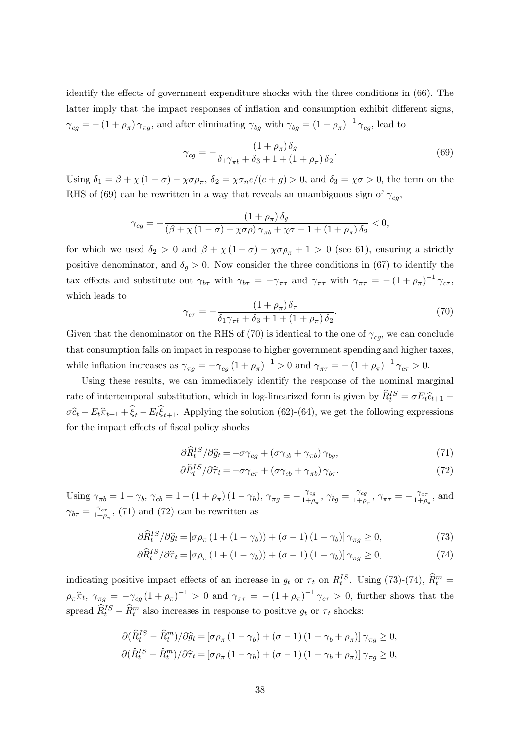identify the effects of government expenditure shocks with the three conditions in  $(66)$ . The latter imply that the impact responses of inflation and consumption exhibit different signs,  $\gamma_{cg} = - (1 + \rho_\pi) \gamma_{\pi g}$ , and after eliminating  $\gamma_{bg}$  with  $\gamma_{bg} = (1 + \rho_\pi)^{-1} \gamma_{cg}$ , lead to

$$
\gamma_{cg} = -\frac{\left(1+\rho_{\pi}\right)\delta_g}{\delta_1\gamma_{\pi b}+\delta_3+1+\left(1+\rho_{\pi}\right)\delta_2}.\tag{69}
$$

Using  $\delta_1 = \beta + \chi(1 - \sigma) - \chi \sigma \rho_{\pi}$ ,  $\delta_2 = \chi \sigma_n c/(c + g) > 0$ , and  $\delta_3 = \chi \sigma > 0$ , the term on the RHS of (69) can be rewritten in a way that reveals an unambiguous sign of  $\gamma_{cg}$ ,

$$
\gamma_{cg} = -\frac{\left(1+\rho_{\pi}\right)\delta_g}{\left(\beta + \chi\left(1-\sigma\right) - \chi\sigma\rho\right)\gamma_{\pi b} + \chi\sigma + 1 + \left(1 + \rho_{\pi}\right)\delta_2} < 0,
$$

for which we used  $\delta_2 > 0$  and  $\beta + \chi(1 - \sigma) - \chi \sigma \rho_{\pi} + 1 > 0$  (see 61), ensuring a strictly positive denominator, and  $\delta_g > 0$ . Now consider the three conditions in (67) to identify the tax effects and substitute out  $\gamma_{b\tau}$  with  $\gamma_{b\tau} = -\gamma_{\pi\tau}$  and  $\gamma_{\pi\tau}$  with  $\gamma_{\pi\tau} = -(1 + \rho_{\pi})^{-1} \gamma_{c\tau}$ , which leads to

$$
\gamma_{c\tau} = -\frac{\left(1+\rho_{\pi}\right)\delta_{\tau}}{\delta_{1}\gamma_{\pi b} + \delta_{3} + 1 + \left(1+\rho_{\pi}\right)\delta_{2}}.\tag{70}
$$

Given that the denominator on the RHS of (70) is identical to the one of  $\gamma_{ca}$ , we can conclude that consumption falls on impact in response to higher government spending and higher taxes, while inflation increases as  $\gamma_{\pi g} = -\gamma_{cg} (1 + \rho_{\pi})^{-1} > 0$  and  $\gamma_{\pi \tau} = -(1 + \rho_{\pi})^{-1} \gamma_{c\tau} > 0$ .

Using these results, we can immediately identify the response of the nominal marginal rate of intertemporal substitution, which in log-linearized form is given by  $\hat{R}_t^{IS} = \sigma E_t \hat{c}_{t+1} - \hat{c}_{t+1}$  $\sigma \hat{c}_t + E_t \hat{\pi}_{t+1} + \xi_t - E_t \xi_{t+1}$ . Applying the solution (62)-(64), we get the following expressions for the impact effects of fiscal policy shocks

$$
\partial \widehat{R}_t^{IS} / \partial \widehat{g}_t = -\sigma \gamma_{cg} + (\sigma \gamma_{cb} + \gamma_{\pi b}) \gamma_{bg},\tag{71}
$$

$$
\partial \hat{R}^{IS}_t / \partial \hat{\tau}_t = -\sigma \gamma_{c\tau} + (\sigma \gamma_{cb} + \gamma_{\pi b}) \gamma_{b\tau}.
$$
\n(72)

Using  $\gamma_{\pi b} = 1 - \gamma_b$ ,  $\gamma_{cb} = 1 - (1 + \rho_{\pi}) (1 - \gamma_b)$ ,  $\gamma_{\pi g} = -\frac{\gamma_{cg}}{1 + \rho_{\pi}}$  $\frac{\gamma_{cg}}{1+\rho_{\pi}}, \gamma_{bg} = \frac{\gamma_{cg}}{1+\rho}$  $\frac{\gamma_{cg}}{1+\rho_{\pi}}, \, \gamma_{\pi\tau} = -\frac{\gamma_{c\tau}}{1+\rho}$  $\frac{\gamma_{c\tau}}{1+\rho_{\pi}},$  and  $\gamma_{b\tau} = \frac{\gamma_{c\tau}}{1+\rho}$  $\frac{\gamma_{c\tau}}{1+\rho_{\pi}},$  (71) and (72) can be rewritten as

$$
\partial \widehat{R}_t^{IS} / \partial \widehat{g}_t = \left[ \sigma \rho_\pi \left( 1 + (1 - \gamma_b) \right) + (\sigma - 1) \left( 1 - \gamma_b \right) \right] \gamma_{\pi g} \ge 0, \tag{73}
$$

$$
\partial \widehat{R}_t^{IS} / \partial \widehat{\tau}_t = \left[ \sigma \rho_\pi \left( 1 + (1 - \gamma_b) \right) + (\sigma - 1) \left( 1 - \gamma_b \right) \right] \gamma_{\pi g} \ge 0, \tag{74}
$$

indicating positive impact effects of an increase in  $g_t$  or  $\tau_t$  on  $R_t^{IS}$ . Using (73)-(74),  $\widehat{R}_t^m$  =  $\rho_{\pi} \hat{\pi}_t$ ,  $\gamma_{\pi g} = -\gamma_{cg} (1 + \rho_{\pi})^{-1} > 0$  and  $\gamma_{\pi \tau} = -(1 + \rho_{\pi})^{-1} \gamma_{c\tau} > 0$ , further shows that the spread  $\widehat{R}_t^{IS} - \widehat{R}_t^m$  also increases in response to positive  $g_t$  or  $\tau_t$  shocks:

$$
\partial(\widehat{R}^{IS}_t - \widehat{R}^m_t)/\partial \widehat{g}_t = [\sigma \rho_\pi (1 - \gamma_b) + (\sigma - 1) (1 - \gamma_b + \rho_\pi)] \gamma_{\pi g} \ge 0,
$$
  

$$
\partial(\widehat{R}^{IS}_t - \widehat{R}^m_t)/\partial \widehat{\tau}_t = [\sigma \rho_\pi (1 - \gamma_b) + (\sigma - 1) (1 - \gamma_b + \rho_\pi)] \gamma_{\pi g} \ge 0,
$$